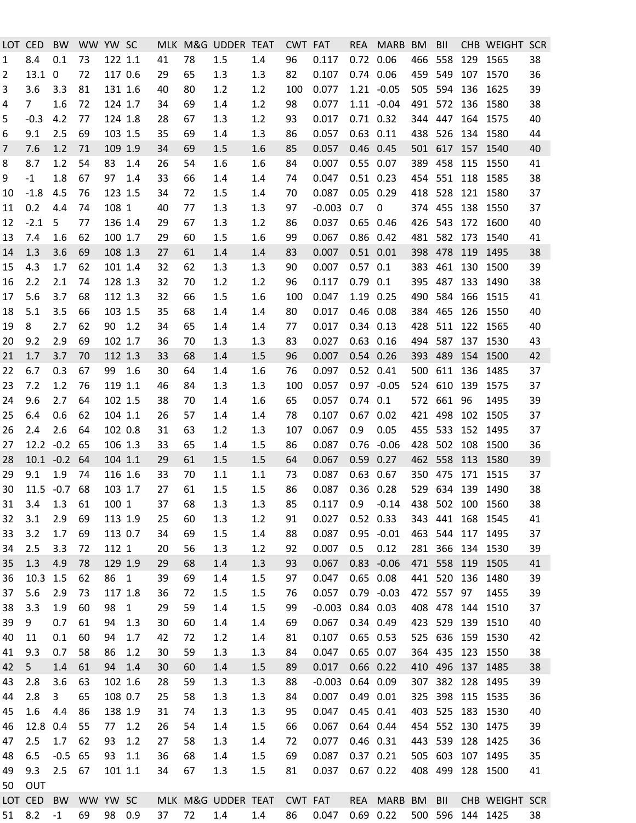| LOT.    | <b>CED</b>     | <b>BW</b>    | WW YW SC |         |              |    |    | MLK M&G UDDER TEAT |     | <b>CWT FAT</b> |          |               | REA MARB BM                |         | BII         |     | CHB WEIGHT SCR   |    |
|---------|----------------|--------------|----------|---------|--------------|----|----|--------------------|-----|----------------|----------|---------------|----------------------------|---------|-------------|-----|------------------|----|
| 1       | 8.4            | 0.1          | 73       | 122 1.1 |              | 41 | 78 | 1.5                | 1.4 | 96             | 0.117    | 0.72 0.06     |                            | 466     | 558         | 129 | 1565             | 38 |
| 2       | 13.1           | $\mathbf 0$  | 72       | 117 0.6 |              | 29 | 65 | 1.3                | 1.3 | 82             | 0.107    | 0.74 0.06     |                            | 459     | 549         |     | 107 1570         | 36 |
| 3       | 3.6            | 3.3          | 81       | 131 1.6 |              | 40 | 80 | 1.2                | 1.2 | 100            | 0.077    |               | $1.21 - 0.05$              | 505     | 594         | 136 | 1625             | 39 |
| 4       | $\overline{7}$ | 1.6          | 72       | 124 1.7 |              | 34 | 69 | 1.4                | 1.2 | 98             | 0.077    |               | $1.11 - 0.04$              | 491     | 572         | 136 | 1580             | 38 |
| 5       | $-0.3$         | 4.2          | 77       | 124 1.8 |              | 28 | 67 | 1.3                | 1.2 | 93             | 0.017    | $0.71$ $0.32$ |                            | 344     | 447         |     | 164 1575         | 40 |
| 6       | 9.1            | 2.5          | 69       | 103 1.5 |              | 35 | 69 | 1.4                | 1.3 | 86             | 0.057    | $0.63$ $0.11$ |                            | 438     | 526         | 134 | 1580             | 44 |
| 7       | 7.6            | 1.2          | 71       | 109 1.9 |              | 34 | 69 | 1.5                | 1.6 | 85             | 0.057    | 0.46 0.45     |                            | 501     | 617         | 157 | 1540             | 40 |
| 8       | 8.7            | 1.2          | 54       | 83      | 1.4          | 26 | 54 | 1.6                | 1.6 | 84             | 0.007    | 0.55 0.07     |                            | 389     | 458         | 115 | 1550             | 41 |
| 9       | $-1$           | 1.8          | 67       | 97      | 1.4          | 33 | 66 | 1.4                | 1.4 | 74             | 0.047    | $0.51$ $0.23$ |                            | 454     | 551         | 118 | 1585             | 38 |
| 10      | $-1.8$         | 4.5          | 76       | 123 1.5 |              | 34 | 72 | 1.5                | 1.4 | 70             | 0.087    | $0.05$ 0.29   |                            | 418     | 528         |     | 121 1580         | 37 |
| 11      | 0.2            | 4.4          | 74       | 108 1   |              | 40 | 77 | 1.3                | 1.3 | 97             | $-0.003$ | 0.7           | 0                          | 374 455 |             | 138 | 1550             | 37 |
| 12      | $-2.1$         | 5            | 77       | 136 1.4 |              | 29 | 67 | 1.3                | 1.2 | 86             | 0.037    | $0.65$ 0.46   |                            | 426     | 543         |     | 172 1600         | 40 |
| 13      | 7.4            | 1.6          | 62       | 100 1.7 |              | 29 | 60 | 1.5                | 1.6 | 99             | 0.067    | $0.86$ 0.42   |                            | 481     | 582         | 173 | 1540             | 41 |
| 14      | 1.3            | 3.6          | 69       | 108 1.3 |              | 27 | 61 | 1.4                | 1.4 | 83             | 0.007    | $0.51$ $0.01$ |                            | 398     | 478         | 119 | 1495             | 38 |
| 15      | 4.3            | 1.7          | 62       | 101 1.4 |              | 32 | 62 | 1.3                | 1.3 | 90             | 0.007    | $0.57$ 0.1    |                            | 383     | 461         | 130 | 1500             | 39 |
| 16      | 2.2            | 2.1          | 74       | 128 1.3 |              | 32 | 70 | 1.2                | 1.2 | 96             | 0.117    | $0.79$ $0.1$  |                            | 395     | 487         | 133 | 1490             | 38 |
| 17      | 5.6            | 3.7          | 68       | 112 1.3 |              | 32 | 66 | 1.5                | 1.6 | 100            | 0.047    | 1.19 0.25     |                            | 490     | 584         | 166 | 1515             | 41 |
| 18      | 5.1            | 3.5          | 66       | 103 1.5 |              | 35 | 68 | 1.4                | 1.4 | 80             | 0.017    | 0.46 0.08     |                            | 384     | 465         |     | 126 1550         | 40 |
| 19      | 8              | 2.7          | 62       | 90      | 1.2          | 34 | 65 | 1.4                | 1.4 | 77             | 0.017    | $0.34$ $0.13$ |                            | 428     | 511         | 122 | 1565             | 40 |
| 20      | 9.2            | 2.9          | 69       | 102 1.7 |              | 36 | 70 | 1.3                | 1.3 | 83             | 0.027    | $0.63$ $0.16$ |                            | 494     | 587         | 137 | 1530             | 43 |
| 21      | 1.7            | 3.7          | 70       | 112 1.3 |              | 33 | 68 | 1.4                | 1.5 | 96             | 0.007    | 0.54 0.26     |                            | 393     | 489         |     | 154 1500         | 42 |
| 22      | 6.7            | 0.3          | 67       | 99      | 1.6          | 30 | 64 | 1.4                | 1.6 | 76             | 0.097    | 0.52 0.41     |                            | 500     | 611         | 136 | 1485             | 37 |
| 23      | 7.2            | 1.2          | 76       | 119 1.1 |              | 46 | 84 | 1.3                | 1.3 | 100            | 0.057    |               | $0.97 - 0.05$              |         | 524 610     | 139 | 1575             | 37 |
| 24      | 9.6            | 2.7          | 64       | 102 1.5 |              | 38 | 70 | 1.4                | 1.6 | 65             | 0.057    | $0.74$ $0.1$  |                            | 572 661 |             | 96  | 1495             | 39 |
| 25      | 6.4            | 0.6          | 62       | 104 1.1 |              | 26 | 57 | 1.4                | 1.4 | 78             | 0.107    | $0.67$ 0.02   |                            | 421     | 498         | 102 | 1505             | 37 |
| 26      | 2.4            | 2.6          | 64       | 102 0.8 |              | 31 | 63 | 1.2                | 1.3 | 107            | 0.067    | 0.9           | 0.05                       | 455     | 533         |     | 152 1495         | 37 |
| 27      | $12.2 -0.2$    |              | 65       | 106 1.3 |              | 33 | 65 | 1.4                | 1.5 | 86             | 0.087    |               | $0.76 - 0.06$              | 428     | 502         | 108 | 1500             | 36 |
| 28      | $10.1 - 0.2$   |              | 64       | 104 1.1 |              | 29 | 61 | 1.5                | 1.5 | 64             | 0.067    | 0.59 0.27     |                            | 462     | 558         | 113 | 1580             | 39 |
| 29      | 9.1            | 1.9          | 74       | 116 1.6 |              | 33 | 70 | 1.1                | 1.1 | 73             | 0.087    | 0.63          | 0.67                       | 350     | 475         | 171 | 1515             | 37 |
| 30      |                | 11.5 -0.7 68 |          | 103 1.7 |              | 27 | 61 | 1.5                | 1.5 | 86             | 0.087    | 0.36 0.28     |                            |         | 529 634     |     | 139 1490         | 38 |
| 31      |                | 3.4 1.3 61   |          | 100 1   |              | 37 | 68 | 1.3                | 1.3 | 85             | 0.117    |               | 0.9 -0.14 438 502 100 1560 |         |             |     |                  | 38 |
| 32      | 3.1            | 2.9          | 69       | 113 1.9 |              | 25 | 60 | 1.3                | 1.2 | 91             | 0.027    | 0.52 0.33     |                            |         | 343 441     | 168 | 1545             | 41 |
| 33      | 3.2            | 1.7          | 69       | 113 0.7 |              | 34 | 69 | 1.5                | 1.4 | 88             | 0.087    |               | $0.95 - 0.01$              | 463 544 |             | 117 | 1495             | 37 |
| 34      | 2.5            | 3.3          | 72       | 112 1   |              | 20 | 56 | 1.3                | 1.2 | 92             | 0.007    | 0.5           | 0.12                       |         | 281 366     |     | 134 1530         | 39 |
| 35      | 1.3            | 4.9          | 78       | 129 1.9 |              | 29 | 68 | 1.4                | 1.3 | 93             | 0.067    | 0.83          | $-0.06$                    | 471 558 |             | 119 | 1505             | 41 |
| 36      | 10.3           | 1.5          | 62       | 86      | $\mathbf{1}$ | 39 | 69 | 1.4                | 1.5 | 97             | 0.047    | $0.65$ 0.08   |                            |         | 441 520 136 |     | 1480             | 39 |
| 37      | 5.6            | 2.9          | 73       | 117 1.8 |              | 36 | 72 | 1.5                | 1.5 | 76             | 0.057    |               | $0.79 - 0.03$              |         | 472 557 97  |     | 1455             | 39 |
| 38      | 3.3            | 1.9          | 60       | 98      | $\mathbf{1}$ | 29 | 59 | 1.4                | 1.5 | 99             | $-0.003$ | 0.84 0.03     |                            | 408 478 |             | 144 | 1510             | 37 |
| 39      | 9              | 0.7          | 61       | 94      | 1.3          | 30 | 60 | 1.4                | 1.4 | 69             | 0.067    | 0.34 0.49     |                            | 423 529 |             | 139 | 1510             | 40 |
| 40      | 11             | 0.1          | 60       | 94      | 1.7          | 42 | 72 | 1.2                | 1.4 | 81             | 0.107    | $0.65$ 0.53   |                            |         | 525 636     |     | 159 1530         | 42 |
| 41      | 9.3            | 0.7          | 58       | 86      | 1.2          | 30 | 59 | 1.3                | 1.3 | 84             | 0.047    | 0.65 0.07     |                            |         | 364 435     |     | 123 1550         | 38 |
| 42      | 5              | 1.4          | 61       | 94      | 1.4          | 30 | 60 | 1.4                | 1.5 | 89             | 0.017    | $0.66$ $0.22$ |                            | 410     | 496         |     | 137 1485         | 38 |
| 43      | 2.8            | 3.6          | 63       | 102 1.6 |              | 28 | 59 | 1.3                | 1.3 | 88             | $-0.003$ | 0.64 0.09     |                            | 307     | 382         | 128 | 1495             | 39 |
| 44      | 2.8            | 3            | 65       | 108 0.7 |              | 25 | 58 | 1.3                | 1.3 | 84             | 0.007    | $0.49$ $0.01$ |                            | 325     | 398         | 115 | 1535             | 36 |
| 45      | 1.6            | 4.4          | 86       | 138 1.9 |              | 31 | 74 | 1.3                | 1.3 | 95             | 0.047    | 0.45 0.41     |                            | 403     | 525         | 183 | 1530             | 40 |
| 46      | 12.8           | 0.4          | 55       | 77      | 1.2          | 26 | 54 | 1.4                | 1.5 | 66             | 0.067    | 0.64 0.44     |                            | 454     | 552         | 130 | 1475             | 39 |
| 47      | 2.5            | 1.7          | 62       | 93      | 1.2          | 27 | 58 | 1.3                | 1.4 | 72             | 0.077    | 0.46 0.31     |                            | 443     | 539         | 128 | 1425             | 36 |
| 48      | 6.5            | $-0.5$       | 65       | 93      | 1.1          | 36 | 68 | 1.4                | 1.5 | 69             | 0.087    | $0.37$ $0.21$ |                            | 505 603 |             |     | 107 1495         | 35 |
| 49      | 9.3            | 2.5          | 67       | 101 1.1 |              | 34 | 67 | 1.3                | 1.5 | 81             | 0.037    | $0.67$ 0.22   |                            | 408 499 |             |     | 128 1500         | 41 |
| 50      | OUT            |              |          |         |              |    |    |                    |     |                |          |               |                            |         |             |     |                  |    |
| LOT CED |                | <b>BW</b>    | WW YW SC |         |              |    |    | MLK M&G UDDER TEAT |     | CWT FAT        |          | <b>REA</b>    | MARB BM                    |         | BII         |     | CHB WEIGHT SCR   |    |
| 51      | 8.2            | $-1$         | 69       | 98 0.9  |              | 37 | 72 | 1.4                | 1.4 | 86             | 0.047    |               | $0.69$ 0.22                |         |             |     | 500 596 144 1425 | 38 |
|         |                |              |          |         |              |    |    |                    |     |                |          |               |                            |         |             |     |                  |    |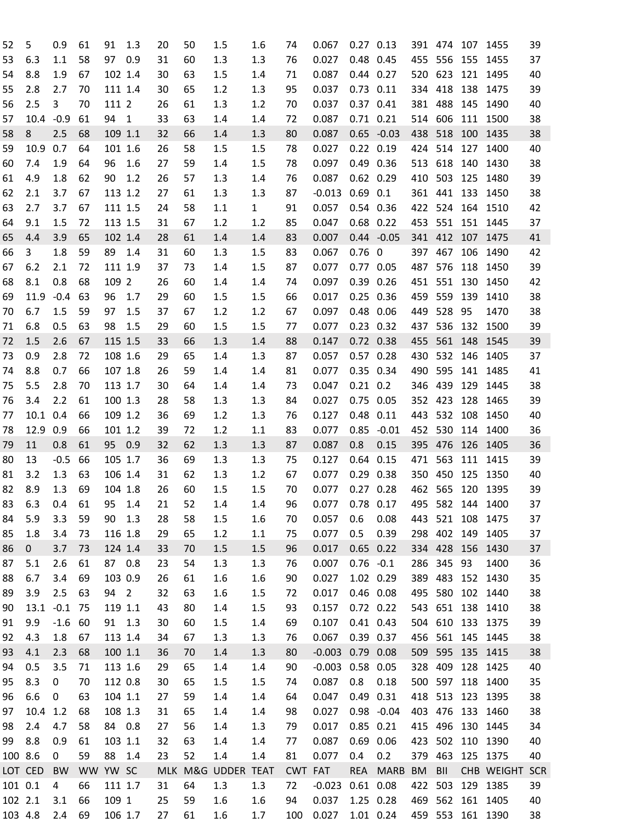| 52      | 5           | 0.9         | 61       | 91      | 1.3            | 20 | 50 | 1.5                | 1.6          | 74         | 0.067                  | $0.27$ 0.13    |               | 391 474   |             |     | 107 1455         | 39 |
|---------|-------------|-------------|----------|---------|----------------|----|----|--------------------|--------------|------------|------------------------|----------------|---------------|-----------|-------------|-----|------------------|----|
| 53      | 6.3         | 1.1         | 58       | 97      | 0.9            | 31 | 60 | 1.3                | 1.3          | 76         | 0.027                  | 0.48 0.45      |               | 455       | 556         | 155 | 1455             | 37 |
| 54      | 8.8         | 1.9         | 67       | 102 1.4 |                | 30 | 63 | 1.5                | 1.4          | 71         | 0.087                  | 0.44 0.27      |               | 520       | 623         | 121 | 1495             | 40 |
| 55      | 2.8         | 2.7         | 70       | 111 1.4 |                | 30 | 65 | 1.2                | 1.3          | 95         | 0.037                  | $0.73$ $0.11$  |               | 334       | 418         | 138 | 1475             | 39 |
| 56      | 2.5         | 3           | 70       | 111 2   |                | 26 | 61 | 1.3                | 1.2          | 70         | 0.037                  | 0.37 0.41      |               | 381       | 488         | 145 | 1490             | 40 |
| 57      | 10.4        | $-0.9$      | 61       | 94      | 1              | 33 | 63 | 1.4                | 1.4          | 72         | 0.087                  | $0.71$ $0.21$  |               | 514       | 606         | 111 | 1500             | 38 |
| 58      | 8           | 2.5         | 68       | 109 1.1 |                | 32 | 66 | 1.4                | 1.3          | 80         | 0.087                  |                | $0.65 - 0.03$ | 438       | 518         | 100 | 1435             | 38 |
| 59      | 10.9        | 0.7         | 64       | 101 1.6 |                | 26 | 58 | 1.5                | 1.5          | 78         | 0.027                  | $0.22$ $0.19$  |               | 424       | 514         | 127 | 1400             | 40 |
| 60      | 7.4         | 1.9         | 64       | 96      | 1.6            | 27 | 59 | 1.4                | 1.5          | 78         | 0.097                  | 0.49 0.36      |               | 513       | 618         | 140 | 1430             | 38 |
| 61      | 4.9         | 1.8         | 62       | 90      | 1.2            | 26 | 57 | 1.3                | 1.4          | 76         | 0.087                  | 0.62 0.29      |               | 410       | 503         | 125 | 1480             | 39 |
| 62      | 2.1         | 3.7         | 67       | 113 1.2 |                | 27 | 61 | 1.3                | 1.3          | 87         | $-0.013$               | 0.69           | 0.1           | 361       | 441         | 133 | 1450             | 38 |
| 63      | 2.7         | 3.7         | 67       | 111 1.5 |                | 24 | 58 | 1.1                | $\mathbf{1}$ | 91         | 0.057                  | 0.54 0.36      |               | 422       | 524         | 164 | 1510             | 42 |
| 64      | 9.1         | 1.5         | 72       | 113 1.5 |                | 31 | 67 | 1.2                | 1.2          | 85         | 0.047                  | $0.68$ $0.22$  |               | 453       | 551         | 151 | 1445             | 37 |
| 65      | 4.4         | 3.9         | 65       | 102 1.4 |                | 28 | 61 | 1.4                | 1.4          | 83         | 0.007                  |                | $0.44 - 0.05$ | 341       | 412         | 107 | 1475             | 41 |
| 66      | 3           | 1.8         | 59       | 89      | 1.4            | 31 | 60 | 1.3                | 1.5          | 83         | 0.067                  | $0.76 \quad 0$ |               | 397       | 467         | 106 | 1490             | 42 |
| 67      | 6.2         | 2.1         | 72       | 111 1.9 |                | 37 | 73 | 1.4                | 1.5          | 87         | 0.077                  | 0.77 0.05      |               | 487       | 576         | 118 | 1450             | 39 |
| 68      | 8.1         | 0.8         | 68       | 109 2   |                | 26 | 60 | 1.4                | 1.4          | 74         | 0.097                  | $0.39$ $0.26$  |               | 451       | 551         | 130 | 1450             | 42 |
|         |             | $-0.4$      |          |         | 1.7            | 29 | 60 | 1.5                | 1.5          |            |                        |                |               |           | 559         |     |                  | 38 |
| 69      | 11.9        |             | 63       | 96      |                |    |    |                    |              | 66         | 0.017                  | $0.25$ 0.36    |               | 459       |             | 139 | 1410             |    |
| 70      | 6.7         | 1.5         | 59       | 97      | 1.5            | 37 | 67 | 1.2                | 1.2          | 67         | 0.097                  | 0.48 0.06      |               | 449       | 528         | 95  | 1470             | 38 |
| 71      | 6.8         | 0.5         | 63       | 98      | 1.5            | 29 | 60 | 1.5                | 1.5          | 77         | 0.077                  | $0.23$ $0.32$  |               | 437       | 536         | 132 | 1500             | 39 |
| 72      | 1.5         | 2.6         | 67       | 115 1.5 |                | 33 | 66 | 1.3                | 1.4          | 88         | 0.147                  | 0.72 0.38      |               | 455       | 561         | 148 | 1545             | 39 |
| 73      | 0.9         | 2.8         | 72       | 108 1.6 |                | 29 | 65 | 1.4                | 1.3          | 87         | 0.057                  | $0.57$ 0.28    |               | 430       | 532         | 146 | 1405             | 37 |
| 74      | 8.8         | 0.7         | 66       | 107 1.8 |                | 26 | 59 | 1.4                | 1.4          | 81         | 0.077                  | 0.35 0.34      |               | 490       | 595         | 141 | 1485             | 41 |
| 75      | 5.5         | 2.8         | 70       | 113 1.7 |                | 30 | 64 | 1.4                | 1.4          | 73         | 0.047                  | $0.21$ $0.2$   |               | 346       | 439         | 129 | 1445             | 38 |
| 76      | 3.4         | 2.2         | 61       | 100 1.3 |                | 28 | 58 | 1.3                | 1.3          | 84         | 0.027                  | 0.75 0.05      |               | 352       | 423         | 128 | 1465             | 39 |
| 77      | 10.1        | 0.4         | 66       | 109 1.2 |                | 36 | 69 | 1.2                | 1.3          | 76         | 0.127                  | 0.48           | 0.11          | 443       | 532         | 108 | 1450             | 40 |
| 78      | 12.9        | 0.9         | 66       | 101 1.2 |                | 39 | 72 | 1.2                | 1.1          | 83         | 0.077                  | 0.85           | $-0.01$       | 452       | 530         | 114 | 1400             | 36 |
| 79      | 11          | 0.8         | 61       | 95      | 0.9            | 32 | 62 | 1.3                | 1.3          | 87         | 0.087                  | 0.8            | 0.15          | 395       | 476         | 126 | 1405             | 36 |
| 80      | 13          | $-0.5$      | 66       | 105 1.7 |                | 36 | 69 | 1.3                | 1.3          | 75         | 0.127                  | 0.64           | 0.15          | 471       | 563         | 111 | 1415             | 39 |
| 81      | 3.2         | 1.3         | 63       | 106 1.4 |                | 31 | 62 | 1.3                | 1.2          | 67         | 0.077                  | 0.29           | 0.38          | 350       | 450         | 125 | 1350             | 40 |
| 82      | 8.9         | 1.3         | 69       | 104 1.8 |                | 26 | 60 | 1.5                | 1.5          | 70         | 0.077                  | $0.27$ $0.28$  |               | 462       | 565         | 120 | 1395             | 39 |
| 83      | 6.3         | 0.4         | 61       | 95      | 1.4            | 21 | 52 | 1.4                | 1.4          | 96         | 0.077                  | 0.78 0.17      |               | 495       | 582         | 144 | 1400             | 37 |
| 84      | 5.9         | 3.3         | 59       | 90      | 1.3            | 28 | 58 | 1.5                | 1.6          | 70         | 0.057                  | 0.6            | 0.08          |           | 443 521 108 |     | 1475             | 37 |
| 85      | 1.8         | 3.4         | 73       | 116 1.8 |                | 29 | 65 | 1.2                | 1.1          | 75         | 0.077                  | 0.5            | 0.39          |           |             |     | 298 402 149 1405 | 37 |
| 86      | $\mathbf 0$ | 3.7         | 73       | 124 1.4 |                | 33 | 70 | 1.5                | 1.5          | 96         | 0.017                  | $0.65$ $0.22$  |               | 334 428   |             | 156 | 1430             | 37 |
| 87      | 5.1         | 2.6         | 61       | 87 0.8  |                | 23 | 54 | 1.3                | 1.3          | 76         | 0.007                  | $0.76 - 0.1$   |               | 286       | 345         | 93  | 1400             | 36 |
| 88      | 6.7         | 3.4         | 69       | 103 0.9 |                | 26 | 61 | 1.6                | 1.6          | 90         | 0.027                  | 1.02 0.29      |               | 389 483   |             |     | 152 1430         | 35 |
| 89      | 3.9         | 2.5         | 63       | 94      | $\overline{2}$ | 32 | 63 | 1.6                | 1.5          | 72         | 0.017                  | $0.46$ 0.08    |               | 495 580   |             |     | 102 1440         | 38 |
| 90      | 13.1        | $-0.1$      | 75       | 119 1.1 |                | 43 | 80 | 1.4                | 1.5          | 93         | 0.157                  | $0.72$ $0.22$  |               |           | 543 651     |     | 138 1410         | 38 |
| 91      | 9.9         | $-1.6$      | 60       | 91      | 1.3            | 30 | 60 | 1.5                | 1.4          | 69         | 0.107                  | $0.41$ $0.43$  |               |           |             |     | 504 610 133 1375 | 39 |
| 92      | 4.3         | 1.8         | 67       | 113 1.4 |                | 34 | 67 | 1.3                | 1.3          | 76         | 0.067                  | 0.39 0.37      |               |           |             |     | 456 561 145 1445 | 38 |
| 93      | 4.1         | 2.3         | 68       | 100 1.1 |                | 36 | 70 | 1.4                | 1.3          | 80         | $-0.003$               | 0.79 0.08      |               | 509       |             |     | 595 135 1415     | 38 |
| 94      | 0.5         | 3.5         | 71       | 113 1.6 |                | 29 | 65 | 1.4                | 1.4          | 90         | $-0.003$ $0.58$ $0.05$ |                |               | 328       | 409         | 128 | 1425             | 40 |
| 95      | 8.3         | $\mathbf 0$ | 70       | 112 0.8 |                | 30 | 65 | 1.5                | 1.5          | 74         | 0.087                  | 0.8            | 0.18          | 500 597   |             |     | 118 1400         | 35 |
| 96      | 6.6         | 0           | 63       | 104 1.1 |                | 27 | 59 | 1.4                | 1.4          | 64         | 0.047                  | 0.49 0.31      |               |           |             |     | 418 513 123 1395 | 38 |
| 97      | 10.4        | 1.2         | 68       | 108 1.3 |                | 31 | 65 | 1.4                | 1.4          | 98         | 0.027                  |                | $0.98 - 0.04$ | 403 476   |             |     | 133 1460         | 38 |
| 98      | 2.4         | 4.7         | 58       | 84 0.8  |                | 27 | 56 | 1.4                | 1.3          | 79         | 0.017                  | $0.85$ $0.21$  |               | 415 496   |             | 130 | 1445             | 34 |
| 99      | 8.8         | 0.9         | 61       | 103 1.1 |                | 32 | 63 | 1.4                | 1.4          | 77         | 0.087                  | 0.69 0.06      |               | 423 502   |             |     | 110 1390         | 40 |
| 100 8.6 |             | $\mathbf 0$ | 59       | 88      | 1.4            | 23 | 52 | 1.4                | 1.4          | 81         | 0.077                  | 0.4            | 0.2           | 379 463   |             |     | 125 1375         | 40 |
|         | LOT CED     | <b>BW</b>   | WW YW SC |         |                |    |    | MLK M&G UDDER TEAT |              | <b>CWT</b> | FAT                    | <b>REA</b>     | <b>MARB</b>   | <b>BM</b> | BII         |     | CHB WEIGHT SCR   |    |
| 101 0.1 |             | 4           | 66       | 111 1.7 |                | 31 | 64 | 1.3                | 1.3          | 72         | $-0.023$               | $0.61$ $0.08$  |               | 422       | 503         |     | 129 1385         | 39 |
| 102 2.1 |             | 3.1         | 66       | 109 1   |                | 25 | 59 | 1.6                | 1.6          | 94         | 0.037                  | 1.25 0.28      |               |           |             |     | 469 562 161 1405 | 40 |
| 103 4.8 |             | 2.4         | 69       | 106 1.7 |                | 27 | 61 | 1.6                | 1.7          | 100        | 0.027                  | 1.01 0.24      |               | 459 553   |             |     | 161 1390         | 38 |
|         |             |             |          |         |                |    |    |                    |              |            |                        |                |               |           |             |     |                  |    |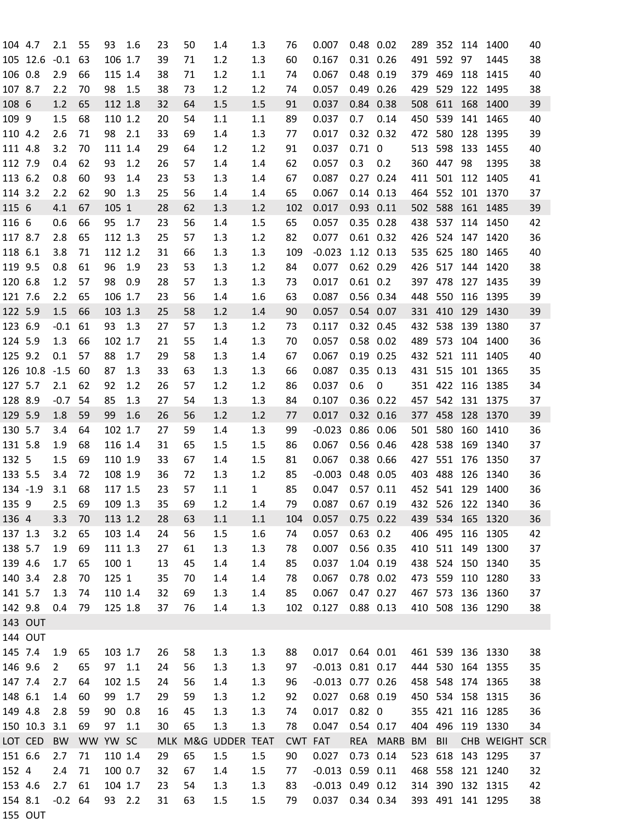| 105 12.6<br>$-0.1$<br>1.3<br>491 592 97<br>38<br>63<br>106 1.7<br>39<br>71<br>1.2<br>60<br>0.167<br>0.31 0.26<br>1445<br>106 0.8<br>38<br>0.48 0.19<br>379 469<br>118 1415<br>2.9<br>66<br>115 1.4<br>71<br>1.2<br>1.1<br>0.067<br>40<br>74<br>107 8.7<br>2.2<br>98<br>1.2<br>0.49 0.26<br>529<br>122<br>70<br>1.5<br>38<br>73<br>1.2<br>0.057<br>429<br>1495<br>38<br>74<br>108 6<br>112 1.8<br>508<br>611<br>168<br>1.2<br>65<br>32<br>1.5<br>1.5<br>91<br>0.037<br>0.84 0.38<br>1400<br>39<br>64<br>539<br>109 9<br>450<br>141 1465<br>1.5<br>68<br>110 1.2<br>20<br>54<br>1.1<br>89<br>0.037<br>0.7<br>0.14<br>40<br>1.1<br>98 2.1<br>1.3<br>472 580<br>128 1395<br>110 4.2<br>2.6<br>33<br>69<br>1.4<br>0.017<br>0.32 0.32<br>39<br>71<br>77<br>598<br>133<br>111 4.8<br>3.2<br>70<br>111 1.4<br>29<br>64<br>1.2<br>1.2<br>91<br>0.037<br>$0.71\ 0$<br>513<br>1455<br>40<br>93<br>360<br>447<br>98<br>112 7.9<br>62<br>1.2<br>26<br>57<br>1.4<br>62<br>0.057<br>0.3<br>0.2<br>1395<br>38<br>0.4<br>1.4<br>113 6.2<br>93<br>$0.27$ 0.24<br>411 501<br>0.8<br>60<br>1.4<br>23<br>53<br>1.3<br>1.4<br>67<br>0.087<br>112 1405<br>41<br>114 3.2<br>90<br>1.3<br>552 101 1370<br>2.2<br>62<br>25<br>56<br>1.4<br>65<br>0.067<br>$0.14$ $0.13$<br>464<br>1.4<br>37<br>115 6<br>105 1<br>1.2<br>$0.93$ $0.11$<br>588<br>161 1485<br>4.1<br>67<br>28<br>62<br>1.3<br>102<br>0.017<br>502<br>39<br>116 6<br>0.35 0.28<br>537<br>114 1450<br>0.6<br>95<br>1.7<br>23<br>56<br>1.5<br>65<br>0.057<br>438<br>42<br>66<br>1.4<br>117 8.7<br>65<br>25<br>1.2<br>82<br>524<br>2.8<br>112 1.3<br>57<br>1.3<br>0.077<br>$0.61$ $0.32$<br>426<br>147 1420<br>36<br>118 6.1<br>3.8<br>112 1.2<br>1.3<br>1.12 0.13<br>625<br>180<br>71<br>31<br>1.3<br>109<br>$-0.023$<br>535<br>1465<br>40<br>66<br>119 9.5<br>96<br>23<br>53<br>$0.62$ 0.29<br>517<br>0.8<br>61<br>1.9<br>1.3<br>1.2<br>84<br>0.077<br>426<br>144 1420<br>38<br>120 6.8<br>98<br>397 478<br>127 1435<br>1.2<br>57<br>0.9<br>28<br>57<br>1.3<br>1.3<br>0.017<br>$0.61$ 0.2<br>39<br>73<br>56<br>1.6<br>550<br>116 1395<br>121 7.6<br>2.2<br>65<br>106 1.7<br>23<br>1.4<br>63<br>0.087<br>0.56 0.34<br>448<br>39<br>122 5.9<br>25<br>58<br>331 410<br>129 1430<br>1.5<br>66<br>103 1.3<br>1.2<br>1.4<br>90<br>0.057<br>0.54 0.07<br>39<br>123 6.9<br>93<br>1.2<br>538<br>139<br>$-0.1$<br>61<br>1.3<br>27<br>57<br>1.3<br>73<br>0.117<br>0.32 0.45<br>432<br>1380<br>37<br>124 5.9<br>0.58 0.02<br>573<br>104<br>1.3<br>66<br>102 1.7<br>55<br>1.4<br>1.3<br>0.057<br>489<br>1400<br>21<br>70<br>36<br>125 9.2<br>0.1<br>88<br>58<br>432 521<br>111 1405<br>57<br>1.7<br>29<br>1.3<br>1.4<br>67<br>0.067<br>$0.19$ $0.25$<br>40<br>126 10.8<br>33<br>1.3<br>431 515<br>101 1365<br>$-1.5$<br>60<br>87<br>1.3<br>63<br>1.3<br>0.087<br>$0.35$ $0.13$<br>35<br>66<br>127 5.7<br>351 422 116 1385<br>2.1<br>62<br>92<br>1.2<br>26<br>57<br>1.2<br>1.2<br>86<br>0.037<br>0.6<br>0<br>34<br>128 8.9<br>85<br>457 542 131 1375<br>$-0.7$<br>54<br>1.3<br>1.3<br>1.3<br>84<br>0.107<br>$0.36$ 0.22<br>27<br>54<br>37<br>129 5.9<br>1.8<br>59<br>99<br>1.6<br>1.2<br>$0.32$ $0.16$<br>377 458 128 1370<br>26<br>56<br>1.2<br>0.017<br>39<br>77<br>130 5.7<br>1.3<br>0.86 0.06<br>501 580<br>160<br>3.4<br>102 1.7<br>59<br>$-0.023$<br>1410<br>36<br>64<br>27<br>1.4<br>99<br>131 5.8<br>116 1.4<br>538<br>1.9<br>68<br>31<br>65<br>1.5<br>1.5<br>86<br>0.067<br>0.56 0.46<br>428<br>169<br>1340<br>37<br>132 5<br>551<br>1.5<br>110 1.9<br>33<br>67<br>1.5<br>81<br>0.067<br>0.38 0.66<br>427<br>176<br>1350<br>69<br>1.4<br>37<br>133 5.5<br>0.48 0.05<br>403<br>488<br>126<br>72<br>108 1.9<br>36<br>72<br>1.2<br>85<br>$-0.003$<br>1340<br>36<br>3.4<br>1.3<br>134 -1.9<br>68<br>57<br>85<br>452 541 129 1400<br>3.1<br>117 1.5<br>23<br>1.1<br>$\mathbf{1}$<br>0.047<br>$0.57$ $0.11$<br>36<br>2.5 69<br>109 1.3<br>35<br>69<br>79<br>0.087  0.67  0.19<br>432 526 122 1340<br>135 9<br>1.2<br>1.4<br>36<br>439 534<br>136 4<br>113 1.2<br>63<br>1.1<br>0.057<br>$0.75$ 0.22<br>165 1320<br>36<br>3.3<br>70<br>28<br>1.1<br>104<br>103 1.4<br>1.5<br>1.6<br>$0.63$ 0.2<br>406 495 116 1305<br>42<br>137 1.3<br>3.2<br>65<br>24<br>56<br>0.057<br>74<br>138 5.7<br>1.9<br>111 1.3<br>0.007<br>0.56 0.35<br>410 511 149 1300<br>37<br>69<br>27<br>61<br>1.3<br>1.3<br>78<br>438 524 150 1340<br>139 4.6<br>100 1<br>13<br>0.037<br>35<br>1.7<br>65<br>45<br>1.4<br>1.4<br>85<br>1.04 0.19<br>140 3.4<br>473 559 110 1280<br>2.8<br>125 1<br>35<br>70<br>1.4<br>1.4<br>0.067<br>0.78 0.02<br>33<br>70<br>78<br>141 5.7<br>1.3<br>110 1.4<br>32<br>$0.47$ 0.27<br>467 573 136 1360<br>74<br>69<br>1.3<br>1.4<br>85<br>0.067<br>37<br>142 9.8<br>125 1.8<br>37<br>1.3<br>0.127<br>$0.88$ 0.13<br>410 508 136 1290<br>0.4<br>79<br>76<br>1.4<br>102<br>38<br>143 OUT<br>144 OUT<br>103 1.7<br>461 539 136 1330<br>38<br>145 7.4<br>1.9<br>65<br>58<br>1.3<br>1.3<br>88<br>$0.017$ 0.64 0.01<br>26<br>146 9.6<br>56<br>$-0.013$ $0.81$ $0.17$<br>444 530 164 1355<br>35<br>$\overline{2}$<br>65<br>97 1.1<br>24<br>1.3<br>1.3<br>97<br>147 7.4<br>64<br>102 1.5<br>56<br>1.3<br>$-0.013$ 0.77 0.26<br>458 548 174 1365<br>38<br>2.7<br>24<br>1.4<br>96<br>148 6.1<br>99<br>1.7<br>0.027<br>$0.68$ 0.19<br>450 534 158 1315<br>1.4<br>29<br>59<br>1.3<br>1.2<br>36<br>60<br>92<br>149 4.8<br>2.8<br>90<br>0.8<br>16<br>1.3<br>0.017<br>$0.82 \ 0$<br>355 421 116 1285<br>36<br>59<br>45<br>1.3<br>74<br>150 10.3 3.1<br>69<br>30<br>65<br>1.3<br>1.3<br>0.047<br>0.54 0.17<br>404 496 119 1330<br>97<br>1.1<br>78<br>34<br>LOT CED<br><b>BW</b><br>WW YW SC<br>M&G UDDER TEAT<br><b>CWT FAT</b><br>CHB WEIGHT SCR<br><b>MLK</b><br><b>REA</b><br><b>MARB</b><br><b>BM</b><br>BII<br>151 6.6<br>110 1.4<br>65<br>1.5<br>$0.73$ $0.14$<br>523 618<br>143 1295<br>2.7<br>71<br>29<br>1.5<br>90<br>0.027<br>37<br>152 4<br>100 0.7<br>32<br>1.4<br>1.5<br>$-0.013$ 0.59 0.11<br>468 558 121 1240<br>2.4<br>71<br>67<br>32<br>77<br>314 390 132 1315<br>153 4.6<br>2.7<br>104 1.7<br>$-0.013$ $0.49$ $0.12$<br>61<br>23<br>54<br>1.3<br>1.3<br>83<br>42<br>154 8.1<br>$-0.2$ 64<br>31<br>0.037  0.34  0.34<br>393 491 141 1295<br>93 2.2<br>63<br>1.5<br>1.5<br>79<br>38<br>155 OUT | 104 4.7 | 2.1 | 55 | 93 | 1.6 | 23 | 50 | 1.4 | 1.3 | 76 | 0.007 | $0.48$ 0.02 |  |  | 289 352 114 1400 | 40 |
|---------------------------------------------------------------------------------------------------------------------------------------------------------------------------------------------------------------------------------------------------------------------------------------------------------------------------------------------------------------------------------------------------------------------------------------------------------------------------------------------------------------------------------------------------------------------------------------------------------------------------------------------------------------------------------------------------------------------------------------------------------------------------------------------------------------------------------------------------------------------------------------------------------------------------------------------------------------------------------------------------------------------------------------------------------------------------------------------------------------------------------------------------------------------------------------------------------------------------------------------------------------------------------------------------------------------------------------------------------------------------------------------------------------------------------------------------------------------------------------------------------------------------------------------------------------------------------------------------------------------------------------------------------------------------------------------------------------------------------------------------------------------------------------------------------------------------------------------------------------------------------------------------------------------------------------------------------------------------------------------------------------------------------------------------------------------------------------------------------------------------------------------------------------------------------------------------------------------------------------------------------------------------------------------------------------------------------------------------------------------------------------------------------------------------------------------------------------------------------------------------------------------------------------------------------------------------------------------------------------------------------------------------------------------------------------------------------------------------------------------------------------------------------------------------------------------------------------------------------------------------------------------------------------------------------------------------------------------------------------------------------------------------------------------------------------------------------------------------------------------------------------------------------------------------------------------------------------------------------------------------------------------------------------------------------------------------------------------------------------------------------------------------------------------------------------------------------------------------------------------------------------------------------------------------------------------------------------------------------------------------------------------------------------------------------------------------------------------------------------------------------------------------------------------------------------------------------------------------------------------------------------------------------------------------------------------------------------------------------------------------------------------------------------------------------------------------------------------------------------------------------------------------------------------------------------------------------------------------------------------------------------------------------------------------------------------------------------------------------------------------------------------------------------------------------------------------------------------------------------------------------------------------------------------------------------------------------------------------------------------------------------------------------------------------------------------------------------------------------------------------------------------------------------------------------------------------------------------------------------------------------------------------------------------------------------------------------------------------------------------------------------------------------------------------------------------------------------------------------------------------------------------------------------------------------------------------------------------------------------------------------------------------------------------------------------------------------------------------------------------------------------------------------------------------------------------------------------------------------------------------------------------------------------------------------------------------------------------------------------------------------------------------------------------------------------------------------------------------------------------------------------------------------------------------------------------------------------------------------------------------------------------------------------------------------------------------------------------------------------------------------------------------------------------------------------------------------------------------------------------------------------------------------------------------------------------------------------------|---------|-----|----|----|-----|----|----|-----|-----|----|-------|-------------|--|--|------------------|----|
|                                                                                                                                                                                                                                                                                                                                                                                                                                                                                                                                                                                                                                                                                                                                                                                                                                                                                                                                                                                                                                                                                                                                                                                                                                                                                                                                                                                                                                                                                                                                                                                                                                                                                                                                                                                                                                                                                                                                                                                                                                                                                                                                                                                                                                                                                                                                                                                                                                                                                                                                                                                                                                                                                                                                                                                                                                                                                                                                                                                                                                                                                                                                                                                                                                                                                                                                                                                                                                                                                                                                                                                                                                                                                                                                                                                                                                                                                                                                                                                                                                                                                                                                                                                                                                                                                                                                                                                                                                                                                                                                                                                                                                                                                                                                                                                                                                                                                                                                                                                                                                                                                                                                                                                                                                                                                                                                                                                                                                                                                                                                                                                                                                                                                                                                                                                                                                                                                                                                                                                                                                                                                                                                                                                                                     |         |     |    |    |     |    |    |     |     |    |       |             |  |  |                  |    |
|                                                                                                                                                                                                                                                                                                                                                                                                                                                                                                                                                                                                                                                                                                                                                                                                                                                                                                                                                                                                                                                                                                                                                                                                                                                                                                                                                                                                                                                                                                                                                                                                                                                                                                                                                                                                                                                                                                                                                                                                                                                                                                                                                                                                                                                                                                                                                                                                                                                                                                                                                                                                                                                                                                                                                                                                                                                                                                                                                                                                                                                                                                                                                                                                                                                                                                                                                                                                                                                                                                                                                                                                                                                                                                                                                                                                                                                                                                                                                                                                                                                                                                                                                                                                                                                                                                                                                                                                                                                                                                                                                                                                                                                                                                                                                                                                                                                                                                                                                                                                                                                                                                                                                                                                                                                                                                                                                                                                                                                                                                                                                                                                                                                                                                                                                                                                                                                                                                                                                                                                                                                                                                                                                                                                                     |         |     |    |    |     |    |    |     |     |    |       |             |  |  |                  |    |
|                                                                                                                                                                                                                                                                                                                                                                                                                                                                                                                                                                                                                                                                                                                                                                                                                                                                                                                                                                                                                                                                                                                                                                                                                                                                                                                                                                                                                                                                                                                                                                                                                                                                                                                                                                                                                                                                                                                                                                                                                                                                                                                                                                                                                                                                                                                                                                                                                                                                                                                                                                                                                                                                                                                                                                                                                                                                                                                                                                                                                                                                                                                                                                                                                                                                                                                                                                                                                                                                                                                                                                                                                                                                                                                                                                                                                                                                                                                                                                                                                                                                                                                                                                                                                                                                                                                                                                                                                                                                                                                                                                                                                                                                                                                                                                                                                                                                                                                                                                                                                                                                                                                                                                                                                                                                                                                                                                                                                                                                                                                                                                                                                                                                                                                                                                                                                                                                                                                                                                                                                                                                                                                                                                                                                     |         |     |    |    |     |    |    |     |     |    |       |             |  |  |                  |    |
|                                                                                                                                                                                                                                                                                                                                                                                                                                                                                                                                                                                                                                                                                                                                                                                                                                                                                                                                                                                                                                                                                                                                                                                                                                                                                                                                                                                                                                                                                                                                                                                                                                                                                                                                                                                                                                                                                                                                                                                                                                                                                                                                                                                                                                                                                                                                                                                                                                                                                                                                                                                                                                                                                                                                                                                                                                                                                                                                                                                                                                                                                                                                                                                                                                                                                                                                                                                                                                                                                                                                                                                                                                                                                                                                                                                                                                                                                                                                                                                                                                                                                                                                                                                                                                                                                                                                                                                                                                                                                                                                                                                                                                                                                                                                                                                                                                                                                                                                                                                                                                                                                                                                                                                                                                                                                                                                                                                                                                                                                                                                                                                                                                                                                                                                                                                                                                                                                                                                                                                                                                                                                                                                                                                                                     |         |     |    |    |     |    |    |     |     |    |       |             |  |  |                  |    |
|                                                                                                                                                                                                                                                                                                                                                                                                                                                                                                                                                                                                                                                                                                                                                                                                                                                                                                                                                                                                                                                                                                                                                                                                                                                                                                                                                                                                                                                                                                                                                                                                                                                                                                                                                                                                                                                                                                                                                                                                                                                                                                                                                                                                                                                                                                                                                                                                                                                                                                                                                                                                                                                                                                                                                                                                                                                                                                                                                                                                                                                                                                                                                                                                                                                                                                                                                                                                                                                                                                                                                                                                                                                                                                                                                                                                                                                                                                                                                                                                                                                                                                                                                                                                                                                                                                                                                                                                                                                                                                                                                                                                                                                                                                                                                                                                                                                                                                                                                                                                                                                                                                                                                                                                                                                                                                                                                                                                                                                                                                                                                                                                                                                                                                                                                                                                                                                                                                                                                                                                                                                                                                                                                                                                                     |         |     |    |    |     |    |    |     |     |    |       |             |  |  |                  |    |
|                                                                                                                                                                                                                                                                                                                                                                                                                                                                                                                                                                                                                                                                                                                                                                                                                                                                                                                                                                                                                                                                                                                                                                                                                                                                                                                                                                                                                                                                                                                                                                                                                                                                                                                                                                                                                                                                                                                                                                                                                                                                                                                                                                                                                                                                                                                                                                                                                                                                                                                                                                                                                                                                                                                                                                                                                                                                                                                                                                                                                                                                                                                                                                                                                                                                                                                                                                                                                                                                                                                                                                                                                                                                                                                                                                                                                                                                                                                                                                                                                                                                                                                                                                                                                                                                                                                                                                                                                                                                                                                                                                                                                                                                                                                                                                                                                                                                                                                                                                                                                                                                                                                                                                                                                                                                                                                                                                                                                                                                                                                                                                                                                                                                                                                                                                                                                                                                                                                                                                                                                                                                                                                                                                                                                     |         |     |    |    |     |    |    |     |     |    |       |             |  |  |                  |    |
|                                                                                                                                                                                                                                                                                                                                                                                                                                                                                                                                                                                                                                                                                                                                                                                                                                                                                                                                                                                                                                                                                                                                                                                                                                                                                                                                                                                                                                                                                                                                                                                                                                                                                                                                                                                                                                                                                                                                                                                                                                                                                                                                                                                                                                                                                                                                                                                                                                                                                                                                                                                                                                                                                                                                                                                                                                                                                                                                                                                                                                                                                                                                                                                                                                                                                                                                                                                                                                                                                                                                                                                                                                                                                                                                                                                                                                                                                                                                                                                                                                                                                                                                                                                                                                                                                                                                                                                                                                                                                                                                                                                                                                                                                                                                                                                                                                                                                                                                                                                                                                                                                                                                                                                                                                                                                                                                                                                                                                                                                                                                                                                                                                                                                                                                                                                                                                                                                                                                                                                                                                                                                                                                                                                                                     |         |     |    |    |     |    |    |     |     |    |       |             |  |  |                  |    |
|                                                                                                                                                                                                                                                                                                                                                                                                                                                                                                                                                                                                                                                                                                                                                                                                                                                                                                                                                                                                                                                                                                                                                                                                                                                                                                                                                                                                                                                                                                                                                                                                                                                                                                                                                                                                                                                                                                                                                                                                                                                                                                                                                                                                                                                                                                                                                                                                                                                                                                                                                                                                                                                                                                                                                                                                                                                                                                                                                                                                                                                                                                                                                                                                                                                                                                                                                                                                                                                                                                                                                                                                                                                                                                                                                                                                                                                                                                                                                                                                                                                                                                                                                                                                                                                                                                                                                                                                                                                                                                                                                                                                                                                                                                                                                                                                                                                                                                                                                                                                                                                                                                                                                                                                                                                                                                                                                                                                                                                                                                                                                                                                                                                                                                                                                                                                                                                                                                                                                                                                                                                                                                                                                                                                                     |         |     |    |    |     |    |    |     |     |    |       |             |  |  |                  |    |
|                                                                                                                                                                                                                                                                                                                                                                                                                                                                                                                                                                                                                                                                                                                                                                                                                                                                                                                                                                                                                                                                                                                                                                                                                                                                                                                                                                                                                                                                                                                                                                                                                                                                                                                                                                                                                                                                                                                                                                                                                                                                                                                                                                                                                                                                                                                                                                                                                                                                                                                                                                                                                                                                                                                                                                                                                                                                                                                                                                                                                                                                                                                                                                                                                                                                                                                                                                                                                                                                                                                                                                                                                                                                                                                                                                                                                                                                                                                                                                                                                                                                                                                                                                                                                                                                                                                                                                                                                                                                                                                                                                                                                                                                                                                                                                                                                                                                                                                                                                                                                                                                                                                                                                                                                                                                                                                                                                                                                                                                                                                                                                                                                                                                                                                                                                                                                                                                                                                                                                                                                                                                                                                                                                                                                     |         |     |    |    |     |    |    |     |     |    |       |             |  |  |                  |    |
|                                                                                                                                                                                                                                                                                                                                                                                                                                                                                                                                                                                                                                                                                                                                                                                                                                                                                                                                                                                                                                                                                                                                                                                                                                                                                                                                                                                                                                                                                                                                                                                                                                                                                                                                                                                                                                                                                                                                                                                                                                                                                                                                                                                                                                                                                                                                                                                                                                                                                                                                                                                                                                                                                                                                                                                                                                                                                                                                                                                                                                                                                                                                                                                                                                                                                                                                                                                                                                                                                                                                                                                                                                                                                                                                                                                                                                                                                                                                                                                                                                                                                                                                                                                                                                                                                                                                                                                                                                                                                                                                                                                                                                                                                                                                                                                                                                                                                                                                                                                                                                                                                                                                                                                                                                                                                                                                                                                                                                                                                                                                                                                                                                                                                                                                                                                                                                                                                                                                                                                                                                                                                                                                                                                                                     |         |     |    |    |     |    |    |     |     |    |       |             |  |  |                  |    |
|                                                                                                                                                                                                                                                                                                                                                                                                                                                                                                                                                                                                                                                                                                                                                                                                                                                                                                                                                                                                                                                                                                                                                                                                                                                                                                                                                                                                                                                                                                                                                                                                                                                                                                                                                                                                                                                                                                                                                                                                                                                                                                                                                                                                                                                                                                                                                                                                                                                                                                                                                                                                                                                                                                                                                                                                                                                                                                                                                                                                                                                                                                                                                                                                                                                                                                                                                                                                                                                                                                                                                                                                                                                                                                                                                                                                                                                                                                                                                                                                                                                                                                                                                                                                                                                                                                                                                                                                                                                                                                                                                                                                                                                                                                                                                                                                                                                                                                                                                                                                                                                                                                                                                                                                                                                                                                                                                                                                                                                                                                                                                                                                                                                                                                                                                                                                                                                                                                                                                                                                                                                                                                                                                                                                                     |         |     |    |    |     |    |    |     |     |    |       |             |  |  |                  |    |
|                                                                                                                                                                                                                                                                                                                                                                                                                                                                                                                                                                                                                                                                                                                                                                                                                                                                                                                                                                                                                                                                                                                                                                                                                                                                                                                                                                                                                                                                                                                                                                                                                                                                                                                                                                                                                                                                                                                                                                                                                                                                                                                                                                                                                                                                                                                                                                                                                                                                                                                                                                                                                                                                                                                                                                                                                                                                                                                                                                                                                                                                                                                                                                                                                                                                                                                                                                                                                                                                                                                                                                                                                                                                                                                                                                                                                                                                                                                                                                                                                                                                                                                                                                                                                                                                                                                                                                                                                                                                                                                                                                                                                                                                                                                                                                                                                                                                                                                                                                                                                                                                                                                                                                                                                                                                                                                                                                                                                                                                                                                                                                                                                                                                                                                                                                                                                                                                                                                                                                                                                                                                                                                                                                                                                     |         |     |    |    |     |    |    |     |     |    |       |             |  |  |                  |    |
|                                                                                                                                                                                                                                                                                                                                                                                                                                                                                                                                                                                                                                                                                                                                                                                                                                                                                                                                                                                                                                                                                                                                                                                                                                                                                                                                                                                                                                                                                                                                                                                                                                                                                                                                                                                                                                                                                                                                                                                                                                                                                                                                                                                                                                                                                                                                                                                                                                                                                                                                                                                                                                                                                                                                                                                                                                                                                                                                                                                                                                                                                                                                                                                                                                                                                                                                                                                                                                                                                                                                                                                                                                                                                                                                                                                                                                                                                                                                                                                                                                                                                                                                                                                                                                                                                                                                                                                                                                                                                                                                                                                                                                                                                                                                                                                                                                                                                                                                                                                                                                                                                                                                                                                                                                                                                                                                                                                                                                                                                                                                                                                                                                                                                                                                                                                                                                                                                                                                                                                                                                                                                                                                                                                                                     |         |     |    |    |     |    |    |     |     |    |       |             |  |  |                  |    |
|                                                                                                                                                                                                                                                                                                                                                                                                                                                                                                                                                                                                                                                                                                                                                                                                                                                                                                                                                                                                                                                                                                                                                                                                                                                                                                                                                                                                                                                                                                                                                                                                                                                                                                                                                                                                                                                                                                                                                                                                                                                                                                                                                                                                                                                                                                                                                                                                                                                                                                                                                                                                                                                                                                                                                                                                                                                                                                                                                                                                                                                                                                                                                                                                                                                                                                                                                                                                                                                                                                                                                                                                                                                                                                                                                                                                                                                                                                                                                                                                                                                                                                                                                                                                                                                                                                                                                                                                                                                                                                                                                                                                                                                                                                                                                                                                                                                                                                                                                                                                                                                                                                                                                                                                                                                                                                                                                                                                                                                                                                                                                                                                                                                                                                                                                                                                                                                                                                                                                                                                                                                                                                                                                                                                                     |         |     |    |    |     |    |    |     |     |    |       |             |  |  |                  |    |
|                                                                                                                                                                                                                                                                                                                                                                                                                                                                                                                                                                                                                                                                                                                                                                                                                                                                                                                                                                                                                                                                                                                                                                                                                                                                                                                                                                                                                                                                                                                                                                                                                                                                                                                                                                                                                                                                                                                                                                                                                                                                                                                                                                                                                                                                                                                                                                                                                                                                                                                                                                                                                                                                                                                                                                                                                                                                                                                                                                                                                                                                                                                                                                                                                                                                                                                                                                                                                                                                                                                                                                                                                                                                                                                                                                                                                                                                                                                                                                                                                                                                                                                                                                                                                                                                                                                                                                                                                                                                                                                                                                                                                                                                                                                                                                                                                                                                                                                                                                                                                                                                                                                                                                                                                                                                                                                                                                                                                                                                                                                                                                                                                                                                                                                                                                                                                                                                                                                                                                                                                                                                                                                                                                                                                     |         |     |    |    |     |    |    |     |     |    |       |             |  |  |                  |    |
|                                                                                                                                                                                                                                                                                                                                                                                                                                                                                                                                                                                                                                                                                                                                                                                                                                                                                                                                                                                                                                                                                                                                                                                                                                                                                                                                                                                                                                                                                                                                                                                                                                                                                                                                                                                                                                                                                                                                                                                                                                                                                                                                                                                                                                                                                                                                                                                                                                                                                                                                                                                                                                                                                                                                                                                                                                                                                                                                                                                                                                                                                                                                                                                                                                                                                                                                                                                                                                                                                                                                                                                                                                                                                                                                                                                                                                                                                                                                                                                                                                                                                                                                                                                                                                                                                                                                                                                                                                                                                                                                                                                                                                                                                                                                                                                                                                                                                                                                                                                                                                                                                                                                                                                                                                                                                                                                                                                                                                                                                                                                                                                                                                                                                                                                                                                                                                                                                                                                                                                                                                                                                                                                                                                                                     |         |     |    |    |     |    |    |     |     |    |       |             |  |  |                  |    |
|                                                                                                                                                                                                                                                                                                                                                                                                                                                                                                                                                                                                                                                                                                                                                                                                                                                                                                                                                                                                                                                                                                                                                                                                                                                                                                                                                                                                                                                                                                                                                                                                                                                                                                                                                                                                                                                                                                                                                                                                                                                                                                                                                                                                                                                                                                                                                                                                                                                                                                                                                                                                                                                                                                                                                                                                                                                                                                                                                                                                                                                                                                                                                                                                                                                                                                                                                                                                                                                                                                                                                                                                                                                                                                                                                                                                                                                                                                                                                                                                                                                                                                                                                                                                                                                                                                                                                                                                                                                                                                                                                                                                                                                                                                                                                                                                                                                                                                                                                                                                                                                                                                                                                                                                                                                                                                                                                                                                                                                                                                                                                                                                                                                                                                                                                                                                                                                                                                                                                                                                                                                                                                                                                                                                                     |         |     |    |    |     |    |    |     |     |    |       |             |  |  |                  |    |
|                                                                                                                                                                                                                                                                                                                                                                                                                                                                                                                                                                                                                                                                                                                                                                                                                                                                                                                                                                                                                                                                                                                                                                                                                                                                                                                                                                                                                                                                                                                                                                                                                                                                                                                                                                                                                                                                                                                                                                                                                                                                                                                                                                                                                                                                                                                                                                                                                                                                                                                                                                                                                                                                                                                                                                                                                                                                                                                                                                                                                                                                                                                                                                                                                                                                                                                                                                                                                                                                                                                                                                                                                                                                                                                                                                                                                                                                                                                                                                                                                                                                                                                                                                                                                                                                                                                                                                                                                                                                                                                                                                                                                                                                                                                                                                                                                                                                                                                                                                                                                                                                                                                                                                                                                                                                                                                                                                                                                                                                                                                                                                                                                                                                                                                                                                                                                                                                                                                                                                                                                                                                                                                                                                                                                     |         |     |    |    |     |    |    |     |     |    |       |             |  |  |                  |    |
|                                                                                                                                                                                                                                                                                                                                                                                                                                                                                                                                                                                                                                                                                                                                                                                                                                                                                                                                                                                                                                                                                                                                                                                                                                                                                                                                                                                                                                                                                                                                                                                                                                                                                                                                                                                                                                                                                                                                                                                                                                                                                                                                                                                                                                                                                                                                                                                                                                                                                                                                                                                                                                                                                                                                                                                                                                                                                                                                                                                                                                                                                                                                                                                                                                                                                                                                                                                                                                                                                                                                                                                                                                                                                                                                                                                                                                                                                                                                                                                                                                                                                                                                                                                                                                                                                                                                                                                                                                                                                                                                                                                                                                                                                                                                                                                                                                                                                                                                                                                                                                                                                                                                                                                                                                                                                                                                                                                                                                                                                                                                                                                                                                                                                                                                                                                                                                                                                                                                                                                                                                                                                                                                                                                                                     |         |     |    |    |     |    |    |     |     |    |       |             |  |  |                  |    |
|                                                                                                                                                                                                                                                                                                                                                                                                                                                                                                                                                                                                                                                                                                                                                                                                                                                                                                                                                                                                                                                                                                                                                                                                                                                                                                                                                                                                                                                                                                                                                                                                                                                                                                                                                                                                                                                                                                                                                                                                                                                                                                                                                                                                                                                                                                                                                                                                                                                                                                                                                                                                                                                                                                                                                                                                                                                                                                                                                                                                                                                                                                                                                                                                                                                                                                                                                                                                                                                                                                                                                                                                                                                                                                                                                                                                                                                                                                                                                                                                                                                                                                                                                                                                                                                                                                                                                                                                                                                                                                                                                                                                                                                                                                                                                                                                                                                                                                                                                                                                                                                                                                                                                                                                                                                                                                                                                                                                                                                                                                                                                                                                                                                                                                                                                                                                                                                                                                                                                                                                                                                                                                                                                                                                                     |         |     |    |    |     |    |    |     |     |    |       |             |  |  |                  |    |
|                                                                                                                                                                                                                                                                                                                                                                                                                                                                                                                                                                                                                                                                                                                                                                                                                                                                                                                                                                                                                                                                                                                                                                                                                                                                                                                                                                                                                                                                                                                                                                                                                                                                                                                                                                                                                                                                                                                                                                                                                                                                                                                                                                                                                                                                                                                                                                                                                                                                                                                                                                                                                                                                                                                                                                                                                                                                                                                                                                                                                                                                                                                                                                                                                                                                                                                                                                                                                                                                                                                                                                                                                                                                                                                                                                                                                                                                                                                                                                                                                                                                                                                                                                                                                                                                                                                                                                                                                                                                                                                                                                                                                                                                                                                                                                                                                                                                                                                                                                                                                                                                                                                                                                                                                                                                                                                                                                                                                                                                                                                                                                                                                                                                                                                                                                                                                                                                                                                                                                                                                                                                                                                                                                                                                     |         |     |    |    |     |    |    |     |     |    |       |             |  |  |                  |    |
|                                                                                                                                                                                                                                                                                                                                                                                                                                                                                                                                                                                                                                                                                                                                                                                                                                                                                                                                                                                                                                                                                                                                                                                                                                                                                                                                                                                                                                                                                                                                                                                                                                                                                                                                                                                                                                                                                                                                                                                                                                                                                                                                                                                                                                                                                                                                                                                                                                                                                                                                                                                                                                                                                                                                                                                                                                                                                                                                                                                                                                                                                                                                                                                                                                                                                                                                                                                                                                                                                                                                                                                                                                                                                                                                                                                                                                                                                                                                                                                                                                                                                                                                                                                                                                                                                                                                                                                                                                                                                                                                                                                                                                                                                                                                                                                                                                                                                                                                                                                                                                                                                                                                                                                                                                                                                                                                                                                                                                                                                                                                                                                                                                                                                                                                                                                                                                                                                                                                                                                                                                                                                                                                                                                                                     |         |     |    |    |     |    |    |     |     |    |       |             |  |  |                  |    |
|                                                                                                                                                                                                                                                                                                                                                                                                                                                                                                                                                                                                                                                                                                                                                                                                                                                                                                                                                                                                                                                                                                                                                                                                                                                                                                                                                                                                                                                                                                                                                                                                                                                                                                                                                                                                                                                                                                                                                                                                                                                                                                                                                                                                                                                                                                                                                                                                                                                                                                                                                                                                                                                                                                                                                                                                                                                                                                                                                                                                                                                                                                                                                                                                                                                                                                                                                                                                                                                                                                                                                                                                                                                                                                                                                                                                                                                                                                                                                                                                                                                                                                                                                                                                                                                                                                                                                                                                                                                                                                                                                                                                                                                                                                                                                                                                                                                                                                                                                                                                                                                                                                                                                                                                                                                                                                                                                                                                                                                                                                                                                                                                                                                                                                                                                                                                                                                                                                                                                                                                                                                                                                                                                                                                                     |         |     |    |    |     |    |    |     |     |    |       |             |  |  |                  |    |
|                                                                                                                                                                                                                                                                                                                                                                                                                                                                                                                                                                                                                                                                                                                                                                                                                                                                                                                                                                                                                                                                                                                                                                                                                                                                                                                                                                                                                                                                                                                                                                                                                                                                                                                                                                                                                                                                                                                                                                                                                                                                                                                                                                                                                                                                                                                                                                                                                                                                                                                                                                                                                                                                                                                                                                                                                                                                                                                                                                                                                                                                                                                                                                                                                                                                                                                                                                                                                                                                                                                                                                                                                                                                                                                                                                                                                                                                                                                                                                                                                                                                                                                                                                                                                                                                                                                                                                                                                                                                                                                                                                                                                                                                                                                                                                                                                                                                                                                                                                                                                                                                                                                                                                                                                                                                                                                                                                                                                                                                                                                                                                                                                                                                                                                                                                                                                                                                                                                                                                                                                                                                                                                                                                                                                     |         |     |    |    |     |    |    |     |     |    |       |             |  |  |                  |    |
|                                                                                                                                                                                                                                                                                                                                                                                                                                                                                                                                                                                                                                                                                                                                                                                                                                                                                                                                                                                                                                                                                                                                                                                                                                                                                                                                                                                                                                                                                                                                                                                                                                                                                                                                                                                                                                                                                                                                                                                                                                                                                                                                                                                                                                                                                                                                                                                                                                                                                                                                                                                                                                                                                                                                                                                                                                                                                                                                                                                                                                                                                                                                                                                                                                                                                                                                                                                                                                                                                                                                                                                                                                                                                                                                                                                                                                                                                                                                                                                                                                                                                                                                                                                                                                                                                                                                                                                                                                                                                                                                                                                                                                                                                                                                                                                                                                                                                                                                                                                                                                                                                                                                                                                                                                                                                                                                                                                                                                                                                                                                                                                                                                                                                                                                                                                                                                                                                                                                                                                                                                                                                                                                                                                                                     |         |     |    |    |     |    |    |     |     |    |       |             |  |  |                  |    |
|                                                                                                                                                                                                                                                                                                                                                                                                                                                                                                                                                                                                                                                                                                                                                                                                                                                                                                                                                                                                                                                                                                                                                                                                                                                                                                                                                                                                                                                                                                                                                                                                                                                                                                                                                                                                                                                                                                                                                                                                                                                                                                                                                                                                                                                                                                                                                                                                                                                                                                                                                                                                                                                                                                                                                                                                                                                                                                                                                                                                                                                                                                                                                                                                                                                                                                                                                                                                                                                                                                                                                                                                                                                                                                                                                                                                                                                                                                                                                                                                                                                                                                                                                                                                                                                                                                                                                                                                                                                                                                                                                                                                                                                                                                                                                                                                                                                                                                                                                                                                                                                                                                                                                                                                                                                                                                                                                                                                                                                                                                                                                                                                                                                                                                                                                                                                                                                                                                                                                                                                                                                                                                                                                                                                                     |         |     |    |    |     |    |    |     |     |    |       |             |  |  |                  |    |
|                                                                                                                                                                                                                                                                                                                                                                                                                                                                                                                                                                                                                                                                                                                                                                                                                                                                                                                                                                                                                                                                                                                                                                                                                                                                                                                                                                                                                                                                                                                                                                                                                                                                                                                                                                                                                                                                                                                                                                                                                                                                                                                                                                                                                                                                                                                                                                                                                                                                                                                                                                                                                                                                                                                                                                                                                                                                                                                                                                                                                                                                                                                                                                                                                                                                                                                                                                                                                                                                                                                                                                                                                                                                                                                                                                                                                                                                                                                                                                                                                                                                                                                                                                                                                                                                                                                                                                                                                                                                                                                                                                                                                                                                                                                                                                                                                                                                                                                                                                                                                                                                                                                                                                                                                                                                                                                                                                                                                                                                                                                                                                                                                                                                                                                                                                                                                                                                                                                                                                                                                                                                                                                                                                                                                     |         |     |    |    |     |    |    |     |     |    |       |             |  |  |                  |    |
|                                                                                                                                                                                                                                                                                                                                                                                                                                                                                                                                                                                                                                                                                                                                                                                                                                                                                                                                                                                                                                                                                                                                                                                                                                                                                                                                                                                                                                                                                                                                                                                                                                                                                                                                                                                                                                                                                                                                                                                                                                                                                                                                                                                                                                                                                                                                                                                                                                                                                                                                                                                                                                                                                                                                                                                                                                                                                                                                                                                                                                                                                                                                                                                                                                                                                                                                                                                                                                                                                                                                                                                                                                                                                                                                                                                                                                                                                                                                                                                                                                                                                                                                                                                                                                                                                                                                                                                                                                                                                                                                                                                                                                                                                                                                                                                                                                                                                                                                                                                                                                                                                                                                                                                                                                                                                                                                                                                                                                                                                                                                                                                                                                                                                                                                                                                                                                                                                                                                                                                                                                                                                                                                                                                                                     |         |     |    |    |     |    |    |     |     |    |       |             |  |  |                  |    |
|                                                                                                                                                                                                                                                                                                                                                                                                                                                                                                                                                                                                                                                                                                                                                                                                                                                                                                                                                                                                                                                                                                                                                                                                                                                                                                                                                                                                                                                                                                                                                                                                                                                                                                                                                                                                                                                                                                                                                                                                                                                                                                                                                                                                                                                                                                                                                                                                                                                                                                                                                                                                                                                                                                                                                                                                                                                                                                                                                                                                                                                                                                                                                                                                                                                                                                                                                                                                                                                                                                                                                                                                                                                                                                                                                                                                                                                                                                                                                                                                                                                                                                                                                                                                                                                                                                                                                                                                                                                                                                                                                                                                                                                                                                                                                                                                                                                                                                                                                                                                                                                                                                                                                                                                                                                                                                                                                                                                                                                                                                                                                                                                                                                                                                                                                                                                                                                                                                                                                                                                                                                                                                                                                                                                                     |         |     |    |    |     |    |    |     |     |    |       |             |  |  |                  |    |
|                                                                                                                                                                                                                                                                                                                                                                                                                                                                                                                                                                                                                                                                                                                                                                                                                                                                                                                                                                                                                                                                                                                                                                                                                                                                                                                                                                                                                                                                                                                                                                                                                                                                                                                                                                                                                                                                                                                                                                                                                                                                                                                                                                                                                                                                                                                                                                                                                                                                                                                                                                                                                                                                                                                                                                                                                                                                                                                                                                                                                                                                                                                                                                                                                                                                                                                                                                                                                                                                                                                                                                                                                                                                                                                                                                                                                                                                                                                                                                                                                                                                                                                                                                                                                                                                                                                                                                                                                                                                                                                                                                                                                                                                                                                                                                                                                                                                                                                                                                                                                                                                                                                                                                                                                                                                                                                                                                                                                                                                                                                                                                                                                                                                                                                                                                                                                                                                                                                                                                                                                                                                                                                                                                                                                     |         |     |    |    |     |    |    |     |     |    |       |             |  |  |                  |    |
|                                                                                                                                                                                                                                                                                                                                                                                                                                                                                                                                                                                                                                                                                                                                                                                                                                                                                                                                                                                                                                                                                                                                                                                                                                                                                                                                                                                                                                                                                                                                                                                                                                                                                                                                                                                                                                                                                                                                                                                                                                                                                                                                                                                                                                                                                                                                                                                                                                                                                                                                                                                                                                                                                                                                                                                                                                                                                                                                                                                                                                                                                                                                                                                                                                                                                                                                                                                                                                                                                                                                                                                                                                                                                                                                                                                                                                                                                                                                                                                                                                                                                                                                                                                                                                                                                                                                                                                                                                                                                                                                                                                                                                                                                                                                                                                                                                                                                                                                                                                                                                                                                                                                                                                                                                                                                                                                                                                                                                                                                                                                                                                                                                                                                                                                                                                                                                                                                                                                                                                                                                                                                                                                                                                                                     |         |     |    |    |     |    |    |     |     |    |       |             |  |  |                  |    |
|                                                                                                                                                                                                                                                                                                                                                                                                                                                                                                                                                                                                                                                                                                                                                                                                                                                                                                                                                                                                                                                                                                                                                                                                                                                                                                                                                                                                                                                                                                                                                                                                                                                                                                                                                                                                                                                                                                                                                                                                                                                                                                                                                                                                                                                                                                                                                                                                                                                                                                                                                                                                                                                                                                                                                                                                                                                                                                                                                                                                                                                                                                                                                                                                                                                                                                                                                                                                                                                                                                                                                                                                                                                                                                                                                                                                                                                                                                                                                                                                                                                                                                                                                                                                                                                                                                                                                                                                                                                                                                                                                                                                                                                                                                                                                                                                                                                                                                                                                                                                                                                                                                                                                                                                                                                                                                                                                                                                                                                                                                                                                                                                                                                                                                                                                                                                                                                                                                                                                                                                                                                                                                                                                                                                                     |         |     |    |    |     |    |    |     |     |    |       |             |  |  |                  |    |
|                                                                                                                                                                                                                                                                                                                                                                                                                                                                                                                                                                                                                                                                                                                                                                                                                                                                                                                                                                                                                                                                                                                                                                                                                                                                                                                                                                                                                                                                                                                                                                                                                                                                                                                                                                                                                                                                                                                                                                                                                                                                                                                                                                                                                                                                                                                                                                                                                                                                                                                                                                                                                                                                                                                                                                                                                                                                                                                                                                                                                                                                                                                                                                                                                                                                                                                                                                                                                                                                                                                                                                                                                                                                                                                                                                                                                                                                                                                                                                                                                                                                                                                                                                                                                                                                                                                                                                                                                                                                                                                                                                                                                                                                                                                                                                                                                                                                                                                                                                                                                                                                                                                                                                                                                                                                                                                                                                                                                                                                                                                                                                                                                                                                                                                                                                                                                                                                                                                                                                                                                                                                                                                                                                                                                     |         |     |    |    |     |    |    |     |     |    |       |             |  |  |                  |    |
|                                                                                                                                                                                                                                                                                                                                                                                                                                                                                                                                                                                                                                                                                                                                                                                                                                                                                                                                                                                                                                                                                                                                                                                                                                                                                                                                                                                                                                                                                                                                                                                                                                                                                                                                                                                                                                                                                                                                                                                                                                                                                                                                                                                                                                                                                                                                                                                                                                                                                                                                                                                                                                                                                                                                                                                                                                                                                                                                                                                                                                                                                                                                                                                                                                                                                                                                                                                                                                                                                                                                                                                                                                                                                                                                                                                                                                                                                                                                                                                                                                                                                                                                                                                                                                                                                                                                                                                                                                                                                                                                                                                                                                                                                                                                                                                                                                                                                                                                                                                                                                                                                                                                                                                                                                                                                                                                                                                                                                                                                                                                                                                                                                                                                                                                                                                                                                                                                                                                                                                                                                                                                                                                                                                                                     |         |     |    |    |     |    |    |     |     |    |       |             |  |  |                  |    |
|                                                                                                                                                                                                                                                                                                                                                                                                                                                                                                                                                                                                                                                                                                                                                                                                                                                                                                                                                                                                                                                                                                                                                                                                                                                                                                                                                                                                                                                                                                                                                                                                                                                                                                                                                                                                                                                                                                                                                                                                                                                                                                                                                                                                                                                                                                                                                                                                                                                                                                                                                                                                                                                                                                                                                                                                                                                                                                                                                                                                                                                                                                                                                                                                                                                                                                                                                                                                                                                                                                                                                                                                                                                                                                                                                                                                                                                                                                                                                                                                                                                                                                                                                                                                                                                                                                                                                                                                                                                                                                                                                                                                                                                                                                                                                                                                                                                                                                                                                                                                                                                                                                                                                                                                                                                                                                                                                                                                                                                                                                                                                                                                                                                                                                                                                                                                                                                                                                                                                                                                                                                                                                                                                                                                                     |         |     |    |    |     |    |    |     |     |    |       |             |  |  |                  |    |
|                                                                                                                                                                                                                                                                                                                                                                                                                                                                                                                                                                                                                                                                                                                                                                                                                                                                                                                                                                                                                                                                                                                                                                                                                                                                                                                                                                                                                                                                                                                                                                                                                                                                                                                                                                                                                                                                                                                                                                                                                                                                                                                                                                                                                                                                                                                                                                                                                                                                                                                                                                                                                                                                                                                                                                                                                                                                                                                                                                                                                                                                                                                                                                                                                                                                                                                                                                                                                                                                                                                                                                                                                                                                                                                                                                                                                                                                                                                                                                                                                                                                                                                                                                                                                                                                                                                                                                                                                                                                                                                                                                                                                                                                                                                                                                                                                                                                                                                                                                                                                                                                                                                                                                                                                                                                                                                                                                                                                                                                                                                                                                                                                                                                                                                                                                                                                                                                                                                                                                                                                                                                                                                                                                                                                     |         |     |    |    |     |    |    |     |     |    |       |             |  |  |                  |    |
|                                                                                                                                                                                                                                                                                                                                                                                                                                                                                                                                                                                                                                                                                                                                                                                                                                                                                                                                                                                                                                                                                                                                                                                                                                                                                                                                                                                                                                                                                                                                                                                                                                                                                                                                                                                                                                                                                                                                                                                                                                                                                                                                                                                                                                                                                                                                                                                                                                                                                                                                                                                                                                                                                                                                                                                                                                                                                                                                                                                                                                                                                                                                                                                                                                                                                                                                                                                                                                                                                                                                                                                                                                                                                                                                                                                                                                                                                                                                                                                                                                                                                                                                                                                                                                                                                                                                                                                                                                                                                                                                                                                                                                                                                                                                                                                                                                                                                                                                                                                                                                                                                                                                                                                                                                                                                                                                                                                                                                                                                                                                                                                                                                                                                                                                                                                                                                                                                                                                                                                                                                                                                                                                                                                                                     |         |     |    |    |     |    |    |     |     |    |       |             |  |  |                  |    |
|                                                                                                                                                                                                                                                                                                                                                                                                                                                                                                                                                                                                                                                                                                                                                                                                                                                                                                                                                                                                                                                                                                                                                                                                                                                                                                                                                                                                                                                                                                                                                                                                                                                                                                                                                                                                                                                                                                                                                                                                                                                                                                                                                                                                                                                                                                                                                                                                                                                                                                                                                                                                                                                                                                                                                                                                                                                                                                                                                                                                                                                                                                                                                                                                                                                                                                                                                                                                                                                                                                                                                                                                                                                                                                                                                                                                                                                                                                                                                                                                                                                                                                                                                                                                                                                                                                                                                                                                                                                                                                                                                                                                                                                                                                                                                                                                                                                                                                                                                                                                                                                                                                                                                                                                                                                                                                                                                                                                                                                                                                                                                                                                                                                                                                                                                                                                                                                                                                                                                                                                                                                                                                                                                                                                                     |         |     |    |    |     |    |    |     |     |    |       |             |  |  |                  |    |
|                                                                                                                                                                                                                                                                                                                                                                                                                                                                                                                                                                                                                                                                                                                                                                                                                                                                                                                                                                                                                                                                                                                                                                                                                                                                                                                                                                                                                                                                                                                                                                                                                                                                                                                                                                                                                                                                                                                                                                                                                                                                                                                                                                                                                                                                                                                                                                                                                                                                                                                                                                                                                                                                                                                                                                                                                                                                                                                                                                                                                                                                                                                                                                                                                                                                                                                                                                                                                                                                                                                                                                                                                                                                                                                                                                                                                                                                                                                                                                                                                                                                                                                                                                                                                                                                                                                                                                                                                                                                                                                                                                                                                                                                                                                                                                                                                                                                                                                                                                                                                                                                                                                                                                                                                                                                                                                                                                                                                                                                                                                                                                                                                                                                                                                                                                                                                                                                                                                                                                                                                                                                                                                                                                                                                     |         |     |    |    |     |    |    |     |     |    |       |             |  |  |                  |    |
|                                                                                                                                                                                                                                                                                                                                                                                                                                                                                                                                                                                                                                                                                                                                                                                                                                                                                                                                                                                                                                                                                                                                                                                                                                                                                                                                                                                                                                                                                                                                                                                                                                                                                                                                                                                                                                                                                                                                                                                                                                                                                                                                                                                                                                                                                                                                                                                                                                                                                                                                                                                                                                                                                                                                                                                                                                                                                                                                                                                                                                                                                                                                                                                                                                                                                                                                                                                                                                                                                                                                                                                                                                                                                                                                                                                                                                                                                                                                                                                                                                                                                                                                                                                                                                                                                                                                                                                                                                                                                                                                                                                                                                                                                                                                                                                                                                                                                                                                                                                                                                                                                                                                                                                                                                                                                                                                                                                                                                                                                                                                                                                                                                                                                                                                                                                                                                                                                                                                                                                                                                                                                                                                                                                                                     |         |     |    |    |     |    |    |     |     |    |       |             |  |  |                  |    |
|                                                                                                                                                                                                                                                                                                                                                                                                                                                                                                                                                                                                                                                                                                                                                                                                                                                                                                                                                                                                                                                                                                                                                                                                                                                                                                                                                                                                                                                                                                                                                                                                                                                                                                                                                                                                                                                                                                                                                                                                                                                                                                                                                                                                                                                                                                                                                                                                                                                                                                                                                                                                                                                                                                                                                                                                                                                                                                                                                                                                                                                                                                                                                                                                                                                                                                                                                                                                                                                                                                                                                                                                                                                                                                                                                                                                                                                                                                                                                                                                                                                                                                                                                                                                                                                                                                                                                                                                                                                                                                                                                                                                                                                                                                                                                                                                                                                                                                                                                                                                                                                                                                                                                                                                                                                                                                                                                                                                                                                                                                                                                                                                                                                                                                                                                                                                                                                                                                                                                                                                                                                                                                                                                                                                                     |         |     |    |    |     |    |    |     |     |    |       |             |  |  |                  |    |
|                                                                                                                                                                                                                                                                                                                                                                                                                                                                                                                                                                                                                                                                                                                                                                                                                                                                                                                                                                                                                                                                                                                                                                                                                                                                                                                                                                                                                                                                                                                                                                                                                                                                                                                                                                                                                                                                                                                                                                                                                                                                                                                                                                                                                                                                                                                                                                                                                                                                                                                                                                                                                                                                                                                                                                                                                                                                                                                                                                                                                                                                                                                                                                                                                                                                                                                                                                                                                                                                                                                                                                                                                                                                                                                                                                                                                                                                                                                                                                                                                                                                                                                                                                                                                                                                                                                                                                                                                                                                                                                                                                                                                                                                                                                                                                                                                                                                                                                                                                                                                                                                                                                                                                                                                                                                                                                                                                                                                                                                                                                                                                                                                                                                                                                                                                                                                                                                                                                                                                                                                                                                                                                                                                                                                     |         |     |    |    |     |    |    |     |     |    |       |             |  |  |                  |    |
|                                                                                                                                                                                                                                                                                                                                                                                                                                                                                                                                                                                                                                                                                                                                                                                                                                                                                                                                                                                                                                                                                                                                                                                                                                                                                                                                                                                                                                                                                                                                                                                                                                                                                                                                                                                                                                                                                                                                                                                                                                                                                                                                                                                                                                                                                                                                                                                                                                                                                                                                                                                                                                                                                                                                                                                                                                                                                                                                                                                                                                                                                                                                                                                                                                                                                                                                                                                                                                                                                                                                                                                                                                                                                                                                                                                                                                                                                                                                                                                                                                                                                                                                                                                                                                                                                                                                                                                                                                                                                                                                                                                                                                                                                                                                                                                                                                                                                                                                                                                                                                                                                                                                                                                                                                                                                                                                                                                                                                                                                                                                                                                                                                                                                                                                                                                                                                                                                                                                                                                                                                                                                                                                                                                                                     |         |     |    |    |     |    |    |     |     |    |       |             |  |  |                  |    |
|                                                                                                                                                                                                                                                                                                                                                                                                                                                                                                                                                                                                                                                                                                                                                                                                                                                                                                                                                                                                                                                                                                                                                                                                                                                                                                                                                                                                                                                                                                                                                                                                                                                                                                                                                                                                                                                                                                                                                                                                                                                                                                                                                                                                                                                                                                                                                                                                                                                                                                                                                                                                                                                                                                                                                                                                                                                                                                                                                                                                                                                                                                                                                                                                                                                                                                                                                                                                                                                                                                                                                                                                                                                                                                                                                                                                                                                                                                                                                                                                                                                                                                                                                                                                                                                                                                                                                                                                                                                                                                                                                                                                                                                                                                                                                                                                                                                                                                                                                                                                                                                                                                                                                                                                                                                                                                                                                                                                                                                                                                                                                                                                                                                                                                                                                                                                                                                                                                                                                                                                                                                                                                                                                                                                                     |         |     |    |    |     |    |    |     |     |    |       |             |  |  |                  |    |
|                                                                                                                                                                                                                                                                                                                                                                                                                                                                                                                                                                                                                                                                                                                                                                                                                                                                                                                                                                                                                                                                                                                                                                                                                                                                                                                                                                                                                                                                                                                                                                                                                                                                                                                                                                                                                                                                                                                                                                                                                                                                                                                                                                                                                                                                                                                                                                                                                                                                                                                                                                                                                                                                                                                                                                                                                                                                                                                                                                                                                                                                                                                                                                                                                                                                                                                                                                                                                                                                                                                                                                                                                                                                                                                                                                                                                                                                                                                                                                                                                                                                                                                                                                                                                                                                                                                                                                                                                                                                                                                                                                                                                                                                                                                                                                                                                                                                                                                                                                                                                                                                                                                                                                                                                                                                                                                                                                                                                                                                                                                                                                                                                                                                                                                                                                                                                                                                                                                                                                                                                                                                                                                                                                                                                     |         |     |    |    |     |    |    |     |     |    |       |             |  |  |                  |    |
|                                                                                                                                                                                                                                                                                                                                                                                                                                                                                                                                                                                                                                                                                                                                                                                                                                                                                                                                                                                                                                                                                                                                                                                                                                                                                                                                                                                                                                                                                                                                                                                                                                                                                                                                                                                                                                                                                                                                                                                                                                                                                                                                                                                                                                                                                                                                                                                                                                                                                                                                                                                                                                                                                                                                                                                                                                                                                                                                                                                                                                                                                                                                                                                                                                                                                                                                                                                                                                                                                                                                                                                                                                                                                                                                                                                                                                                                                                                                                                                                                                                                                                                                                                                                                                                                                                                                                                                                                                                                                                                                                                                                                                                                                                                                                                                                                                                                                                                                                                                                                                                                                                                                                                                                                                                                                                                                                                                                                                                                                                                                                                                                                                                                                                                                                                                                                                                                                                                                                                                                                                                                                                                                                                                                                     |         |     |    |    |     |    |    |     |     |    |       |             |  |  |                  |    |
|                                                                                                                                                                                                                                                                                                                                                                                                                                                                                                                                                                                                                                                                                                                                                                                                                                                                                                                                                                                                                                                                                                                                                                                                                                                                                                                                                                                                                                                                                                                                                                                                                                                                                                                                                                                                                                                                                                                                                                                                                                                                                                                                                                                                                                                                                                                                                                                                                                                                                                                                                                                                                                                                                                                                                                                                                                                                                                                                                                                                                                                                                                                                                                                                                                                                                                                                                                                                                                                                                                                                                                                                                                                                                                                                                                                                                                                                                                                                                                                                                                                                                                                                                                                                                                                                                                                                                                                                                                                                                                                                                                                                                                                                                                                                                                                                                                                                                                                                                                                                                                                                                                                                                                                                                                                                                                                                                                                                                                                                                                                                                                                                                                                                                                                                                                                                                                                                                                                                                                                                                                                                                                                                                                                                                     |         |     |    |    |     |    |    |     |     |    |       |             |  |  |                  |    |
|                                                                                                                                                                                                                                                                                                                                                                                                                                                                                                                                                                                                                                                                                                                                                                                                                                                                                                                                                                                                                                                                                                                                                                                                                                                                                                                                                                                                                                                                                                                                                                                                                                                                                                                                                                                                                                                                                                                                                                                                                                                                                                                                                                                                                                                                                                                                                                                                                                                                                                                                                                                                                                                                                                                                                                                                                                                                                                                                                                                                                                                                                                                                                                                                                                                                                                                                                                                                                                                                                                                                                                                                                                                                                                                                                                                                                                                                                                                                                                                                                                                                                                                                                                                                                                                                                                                                                                                                                                                                                                                                                                                                                                                                                                                                                                                                                                                                                                                                                                                                                                                                                                                                                                                                                                                                                                                                                                                                                                                                                                                                                                                                                                                                                                                                                                                                                                                                                                                                                                                                                                                                                                                                                                                                                     |         |     |    |    |     |    |    |     |     |    |       |             |  |  |                  |    |
|                                                                                                                                                                                                                                                                                                                                                                                                                                                                                                                                                                                                                                                                                                                                                                                                                                                                                                                                                                                                                                                                                                                                                                                                                                                                                                                                                                                                                                                                                                                                                                                                                                                                                                                                                                                                                                                                                                                                                                                                                                                                                                                                                                                                                                                                                                                                                                                                                                                                                                                                                                                                                                                                                                                                                                                                                                                                                                                                                                                                                                                                                                                                                                                                                                                                                                                                                                                                                                                                                                                                                                                                                                                                                                                                                                                                                                                                                                                                                                                                                                                                                                                                                                                                                                                                                                                                                                                                                                                                                                                                                                                                                                                                                                                                                                                                                                                                                                                                                                                                                                                                                                                                                                                                                                                                                                                                                                                                                                                                                                                                                                                                                                                                                                                                                                                                                                                                                                                                                                                                                                                                                                                                                                                                                     |         |     |    |    |     |    |    |     |     |    |       |             |  |  |                  |    |
|                                                                                                                                                                                                                                                                                                                                                                                                                                                                                                                                                                                                                                                                                                                                                                                                                                                                                                                                                                                                                                                                                                                                                                                                                                                                                                                                                                                                                                                                                                                                                                                                                                                                                                                                                                                                                                                                                                                                                                                                                                                                                                                                                                                                                                                                                                                                                                                                                                                                                                                                                                                                                                                                                                                                                                                                                                                                                                                                                                                                                                                                                                                                                                                                                                                                                                                                                                                                                                                                                                                                                                                                                                                                                                                                                                                                                                                                                                                                                                                                                                                                                                                                                                                                                                                                                                                                                                                                                                                                                                                                                                                                                                                                                                                                                                                                                                                                                                                                                                                                                                                                                                                                                                                                                                                                                                                                                                                                                                                                                                                                                                                                                                                                                                                                                                                                                                                                                                                                                                                                                                                                                                                                                                                                                     |         |     |    |    |     |    |    |     |     |    |       |             |  |  |                  |    |
|                                                                                                                                                                                                                                                                                                                                                                                                                                                                                                                                                                                                                                                                                                                                                                                                                                                                                                                                                                                                                                                                                                                                                                                                                                                                                                                                                                                                                                                                                                                                                                                                                                                                                                                                                                                                                                                                                                                                                                                                                                                                                                                                                                                                                                                                                                                                                                                                                                                                                                                                                                                                                                                                                                                                                                                                                                                                                                                                                                                                                                                                                                                                                                                                                                                                                                                                                                                                                                                                                                                                                                                                                                                                                                                                                                                                                                                                                                                                                                                                                                                                                                                                                                                                                                                                                                                                                                                                                                                                                                                                                                                                                                                                                                                                                                                                                                                                                                                                                                                                                                                                                                                                                                                                                                                                                                                                                                                                                                                                                                                                                                                                                                                                                                                                                                                                                                                                                                                                                                                                                                                                                                                                                                                                                     |         |     |    |    |     |    |    |     |     |    |       |             |  |  |                  |    |
|                                                                                                                                                                                                                                                                                                                                                                                                                                                                                                                                                                                                                                                                                                                                                                                                                                                                                                                                                                                                                                                                                                                                                                                                                                                                                                                                                                                                                                                                                                                                                                                                                                                                                                                                                                                                                                                                                                                                                                                                                                                                                                                                                                                                                                                                                                                                                                                                                                                                                                                                                                                                                                                                                                                                                                                                                                                                                                                                                                                                                                                                                                                                                                                                                                                                                                                                                                                                                                                                                                                                                                                                                                                                                                                                                                                                                                                                                                                                                                                                                                                                                                                                                                                                                                                                                                                                                                                                                                                                                                                                                                                                                                                                                                                                                                                                                                                                                                                                                                                                                                                                                                                                                                                                                                                                                                                                                                                                                                                                                                                                                                                                                                                                                                                                                                                                                                                                                                                                                                                                                                                                                                                                                                                                                     |         |     |    |    |     |    |    |     |     |    |       |             |  |  |                  |    |
|                                                                                                                                                                                                                                                                                                                                                                                                                                                                                                                                                                                                                                                                                                                                                                                                                                                                                                                                                                                                                                                                                                                                                                                                                                                                                                                                                                                                                                                                                                                                                                                                                                                                                                                                                                                                                                                                                                                                                                                                                                                                                                                                                                                                                                                                                                                                                                                                                                                                                                                                                                                                                                                                                                                                                                                                                                                                                                                                                                                                                                                                                                                                                                                                                                                                                                                                                                                                                                                                                                                                                                                                                                                                                                                                                                                                                                                                                                                                                                                                                                                                                                                                                                                                                                                                                                                                                                                                                                                                                                                                                                                                                                                                                                                                                                                                                                                                                                                                                                                                                                                                                                                                                                                                                                                                                                                                                                                                                                                                                                                                                                                                                                                                                                                                                                                                                                                                                                                                                                                                                                                                                                                                                                                                                     |         |     |    |    |     |    |    |     |     |    |       |             |  |  |                  |    |
|                                                                                                                                                                                                                                                                                                                                                                                                                                                                                                                                                                                                                                                                                                                                                                                                                                                                                                                                                                                                                                                                                                                                                                                                                                                                                                                                                                                                                                                                                                                                                                                                                                                                                                                                                                                                                                                                                                                                                                                                                                                                                                                                                                                                                                                                                                                                                                                                                                                                                                                                                                                                                                                                                                                                                                                                                                                                                                                                                                                                                                                                                                                                                                                                                                                                                                                                                                                                                                                                                                                                                                                                                                                                                                                                                                                                                                                                                                                                                                                                                                                                                                                                                                                                                                                                                                                                                                                                                                                                                                                                                                                                                                                                                                                                                                                                                                                                                                                                                                                                                                                                                                                                                                                                                                                                                                                                                                                                                                                                                                                                                                                                                                                                                                                                                                                                                                                                                                                                                                                                                                                                                                                                                                                                                     |         |     |    |    |     |    |    |     |     |    |       |             |  |  |                  |    |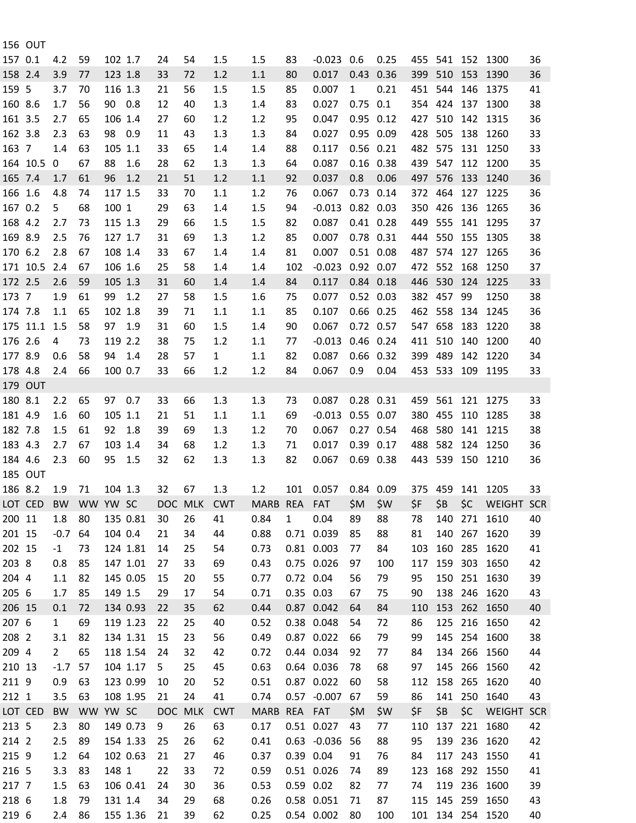|         | <b>156 OUT</b> |                |          |         |          |    |         |            |             |               |                |                            |      |         |             |     |                                                                             |    |
|---------|----------------|----------------|----------|---------|----------|----|---------|------------|-------------|---------------|----------------|----------------------------|------|---------|-------------|-----|-----------------------------------------------------------------------------|----|
| 157 0.1 |                | 4.2            | 59       | 102 1.7 |          | 24 | 54      | 1.5        | 1.5         | 83            | $-0.023$ 0.6   |                            | 0.25 |         |             |     | 455 541 152 1300                                                            | 36 |
| 158 2.4 |                | 3.9            | 77       | 123 1.8 |          | 33 | 72      | 1.2        | 1.1         | 80            | 0.017          | 0.43 0.36                  |      | 399 510 |             | 153 | 1390                                                                        | 36 |
| 159 5   |                | 3.7            | 70       | 116 1.3 |          | 21 | 56      | 1.5        | 1.5         | 85            | 0.007          | $\mathbf{1}$               | 0.21 | 451     | 544         |     | 146 1375                                                                    | 41 |
| 160 8.6 |                | 1.7            | 56       | 90 0.8  |          | 12 | 40      | 1.3        | 1.4         | 83            | 0.027          | $0.75$ 0.1                 |      |         |             |     | 354 424 137 1300                                                            | 38 |
| 161 3.5 |                | 2.7            | 65       | 106 1.4 |          | 27 | 60      | 1.2        | 1.2         | 95            | 0.047          | $0.95$ $0.12$              |      | 427 510 |             |     | 142 1315                                                                    | 36 |
| 162 3.8 |                | 2.3            | 63       | 98 0.9  |          | 11 | 43      | 1.3        | 1.3         | 84            | 0.027          | 0.95 0.09                  |      | 428     | 505         | 138 | 1260                                                                        | 33 |
| 163 7   |                | 1.4            | 63       | 105 1.1 |          | 33 | 65      | 1.4        | 1.4         | 88            | 0.117          | $0.56$ $0.21$              |      |         |             |     | 482 575 131 1250                                                            | 33 |
|         | 164 10.5       | $\mathbf{0}$   | 67       | 88      | 1.6      | 28 | 62      | 1.3        | 1.3         | 64            | 0.087          | $0.16$ $0.38$              |      |         |             |     | 439 547 112 1200                                                            | 35 |
| 165 7.4 |                | 1.7            | 61       | 96      | 1.2      | 21 | 51      | 1.2        | 1.1         | 92            | 0.037          | 0.8                        | 0.06 |         |             |     | 497 576 133 1240                                                            | 36 |
| 166 1.6 |                | 4.8            | 74       | 117 1.5 |          | 33 | 70      | 1.1        | 1.2         | 76            | 0.067          | $0.73$ 0.14                |      | 372 464 |             | 127 | 1225                                                                        | 36 |
| 167 0.2 |                | 5              | 68       | 100 1   |          | 29 | 63      | 1.4        | 1.5         | 94            | $-0.013$       | $0.82$ 0.03                |      |         | 350 426     |     | 136 1265                                                                    | 36 |
| 168 4.2 |                | 2.7            | 73       | 115 1.3 |          | 29 | 66      | 1.5        | 1.5         | 82            | 0.087          | $0.41$ 0.28                |      | 449     | 555         |     | 141 1295                                                                    | 37 |
| 169 8.9 |                | 2.5            | 76       | 127 1.7 |          | 31 | 69      | 1.3        | 1.2         | 85            | 0.007          | 0.78 0.31                  |      | 444 550 |             |     | 155 1305                                                                    | 38 |
| 170 6.2 |                | 2.8            | 67       | 108 1.4 |          | 33 | 67      | 1.4        | 1.4         | 81            | 0.007          | $0.51$ $0.08$              |      | 487     | 574         | 127 | 1265                                                                        | 36 |
|         | 171 10.5       | 2.4            | 67       | 106 1.6 |          | 25 | 58      | 1.4        | 1.4         | 102           | $-0.023$       | 0.92 0.07                  |      |         |             |     | 472 552 168 1250                                                            | 37 |
| 172 2.5 |                | 2.6            | 59       | 105 1.3 |          | 31 | 60      | 1.4        | 1.4         | 84            | 0.117          | 0.84 0.18                  |      | 446 530 |             |     | 124 1225                                                                    | 33 |
| 173 7   |                | 1.9            | 61       | 99 1.2  |          | 27 | 58      | 1.5        | 1.6         | 75            | 0.077          | 0.52 0.03                  |      |         | 382 457     | 99  | 1250                                                                        | 38 |
|         |                |                |          | 102 1.8 |          |    |         |            |             |               |                | $0.66$ $0.25$              |      |         | 462 558 134 |     |                                                                             | 36 |
| 174 7.8 | 175 11.1 1.5   | 1.1            | 65       | 97 1.9  |          | 39 | 71      | 1.1        | 1.1         | 85            | 0.107<br>0.067 |                            |      | 547 658 |             | 183 | 1245                                                                        | 38 |
| 176 2.6 |                |                | 58       | 119 2.2 |          | 31 | 60      | 1.5        | 1.4         | 90            |                | $0.72$ 0.57<br>$0.46$ 0.24 |      | 411 510 |             | 140 | 1220                                                                        |    |
|         |                | 4              | 73       |         |          | 38 | 75      | 1.2        | 1.1         | 77            | $-0.013$       |                            |      |         |             |     | 1200                                                                        | 40 |
| 177 8.9 |                | 0.6            | 58       | 94 1.4  |          | 28 | 57      | 1          | 1.1         | 82            | 0.087          | $0.66$ $0.32$              |      | 399 489 |             |     | 142 1220                                                                    | 34 |
| 178 4.8 |                | 2.4            | 66       | 100 0.7 |          | 33 | 66      | 1.2        | 1.2         | 84            | 0.067          | 0.9                        | 0.04 |         |             |     | 453 533 109 1195                                                            | 33 |
|         | <b>179 OUT</b> |                |          |         |          |    |         |            |             |               |                |                            |      |         |             |     |                                                                             |    |
| 180 8.1 |                | 2.2            | 65       | 97      | 0.7      | 33 | 66      | 1.3        | 1.3         | 73            | 0.087          | $0.28$ $0.31$              |      | 459     | 561         |     | 121 1275                                                                    | 33 |
| 181 4.9 |                | 1.6            | 60       | 105 1.1 |          | 21 | 51      | 1.1        | 1.1         | 69            | $-0.013$       | 0.55 0.07                  |      |         | 380 455 110 |     | 1285                                                                        | 38 |
| 182 7.8 |                | 1.5            | 61       | 92      | 1.8      | 39 | 69      | 1.3        | 1.2         | 70            | 0.067          | $0.27$ 0.54                |      | 468     | 580         |     | 141 1215                                                                    | 38 |
| 183 4.3 |                | 2.7            | 67       | 103 1.4 |          | 34 | 68      | 1.2        | 1.3         | 71            | 0.017          | 0.39 0.17                  |      |         | 488 582     |     | 124 1250                                                                    | 36 |
| 184 4.6 |                | 2.3            | 60       | 95      | 1.5      | 32 | 62      | 1.3        | 1.3         | 82            | 0.067          | $0.69$ $0.38$              |      | 443 539 |             |     | 150 1210                                                                    | 36 |
|         | <b>185 OUT</b> |                |          |         |          |    |         |            |             |               |                |                            |      |         |             |     |                                                                             |    |
| 186 8.2 |                | 1.9            | 71       | 104 1.3 |          | 32 | 67      | 1.3        | 1.2         | 101           | 0.057          | 0.84 0.09                  |      |         |             |     | 375 459 141 1205                                                            | 33 |
|         |                |                |          |         |          |    |         |            |             |               |                |                            |      |         |             |     | LOT CED BW WW YW SC DOC MLK CWT MARB REA FAT \$M \$W \$F \$B \$C WEIGHT SCR |    |
| 200 11  |                | 1.8            | 80       |         | 135 0.81 | 30 | 26      | 41         | 0.84        | $\mathbf{1}$  | 0.04           | 89                         | 88   | 78      | 140         | 271 | 1610                                                                        | 40 |
| 201 15  |                | $-0.7$         | 64       | 104 0.4 |          | 21 | 34      | 44         | 0.88        |               | 0.71 0.039     | 85                         | 88   | 81      | 140         | 267 | 1620                                                                        | 39 |
| 202 15  |                | $-1$           | 73       |         | 124 1.81 | 14 | 25      | 54         | 0.73        |               | 0.81 0.003     | 77                         | 84   | 103     | 160         | 285 | 1620                                                                        | 41 |
| 203 8   |                | 0.8            | 85       |         | 147 1.01 | 27 | 33      | 69         | 0.43        |               | 0.75 0.026     | 97                         | 100  | 117     | 159         |     | 303 1650                                                                    | 42 |
| 204 4   |                | 1.1            | 82       |         | 145 0.05 | 15 | 20      | 55         | 0.77        | 0.72 0.04     |                | 56                         | 79   | 95      | 150         |     | 251 1630                                                                    | 39 |
| 205 6   |                | 1.7            | 85       | 149 1.5 |          | 29 | 17      | 54         | 0.71        | 0.35 0.03     |                | 67                         | 75   | 90      |             |     | 138 246 1620                                                                | 43 |
| 206 15  |                | 0.1            | 72       |         | 134 0.93 | 22 | 35      | 62         | 0.44        |               | 0.87 0.042     | 64                         | 84   | 110     | 153         | 262 | 1650                                                                        | 40 |
| 207 6   |                | $\mathbf{1}$   | 69       |         | 119 1.23 | 22 | 25      | 40         | 0.52        |               | 0.38 0.048     | 54                         | 72   | 86      | 125         | 216 | 1650                                                                        | 42 |
| 208 2   |                | 3.1            | 82       |         | 134 1.31 | 15 | 23      | 56         | 0.49        |               | 0.87 0.022     | 66                         | 79   | 99      | 145         |     | 254 1600                                                                    | 38 |
| 209 4   |                | $\overline{2}$ | 65       |         | 118 1.54 | 24 | 32      | 42         | 0.72        |               | 0.44 0.034     | 92                         | 77   | 84      | 134         | 266 | 1560                                                                        | 44 |
| 210 13  |                | $-1.7$         | 57       |         | 104 1.17 | 5  | 25      | 45         | 0.63        |               | 0.64 0.036     | 78                         | 68   | 97      | 145         | 266 | 1560                                                                        | 42 |
| 211 9   |                | 0.9            | 63       |         | 123 0.99 | 10 | 20      | 52         | 0.51        |               | 0.87 0.022     | 60                         | 58   | 112     | 158         | 265 | 1620                                                                        | 40 |
| 212 1   |                | 3.5            | 63       |         | 108 1.95 | 21 | 24      | 41         | 0.74        |               | 0.57 -0.007 67 |                            | 59   | 86      |             |     | 141 250 1640                                                                | 43 |
| LOT CED |                | <b>BW</b>      | WW YW SC |         |          |    | DOC MLK | <b>CWT</b> | <b>MARB</b> | REA FAT       |                | \$M                        | \$W  | \$F     | \$B         | \$C | <b>WEIGHT SCR</b>                                                           |    |
| 213 5   |                | 2.3            | 80       |         | 149 0.73 | 9  | 26      | 63         | 0.17        |               | 0.51 0.027     | 43                         | 77   | 110     | 137         | 221 | 1680                                                                        | 42 |
| 214 2   |                | 2.5            | 89       |         | 154 1.33 | 25 | 26      | 62         | 0.41        |               | $0.63 - 0.036$ | 56                         | 88   | 95      | 139         | 236 | 1620                                                                        | 42 |
| 215 9   |                | 1.2            | 64       |         | 102 0.63 | 21 | 27      | 46         | 0.37        | 0.39 0.04     |                | 91                         | 76   | 84      | 117         |     | 243 1550                                                                    | 41 |
| 216 5   |                | 3.3            | 83       | 148 1   |          | 22 | 33      | 72         | 0.59        |               | 0.51 0.026     | 74                         | 89   | 123     | 168         |     | 292 1550                                                                    | 41 |
| 217 7   |                | 1.5            | 63       |         | 106 0.41 | 24 | 30      | 36         | 0.53        | $0.59$ $0.02$ |                | 82                         | 77   | 74      | 119         | 236 | 1600                                                                        | 39 |
| 218 6   |                | 1.8            | 79       | 131 1.4 |          | 34 | 29      | 68         | 0.26        |               | 0.58 0.051     | 71                         | 87   | 115     |             |     | 145 259 1650                                                                | 43 |
| 219 6   |                | 2.4            | 86       |         | 155 1.36 | 21 | 39      | 62         | 0.25        |               | 0.54 0.002     | 80                         | 100  |         |             |     | 101 134 254 1520                                                            | 40 |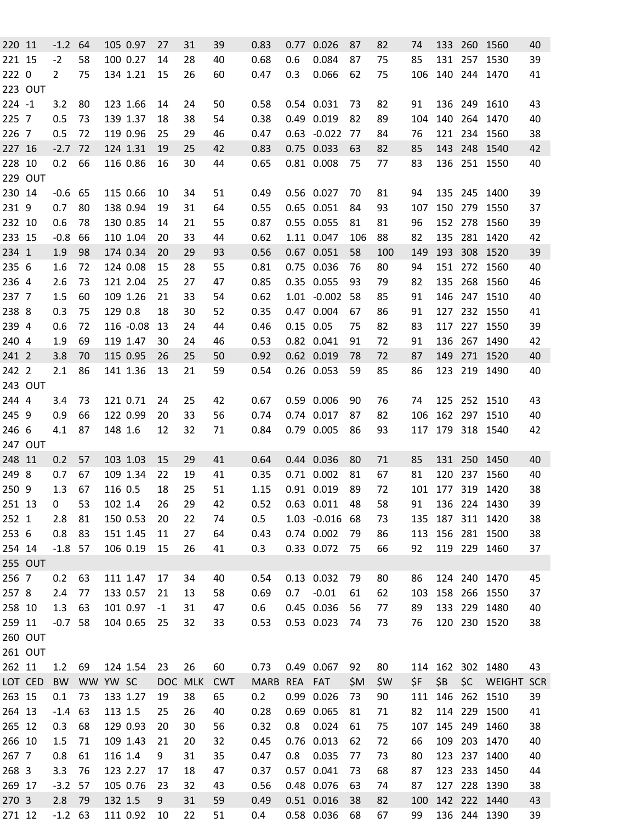| 220 11    |                | $-1.2$ 64      |          |         | 105 0.97  | 27   | 31      | 39         | 0.83         |     | 0.77 0.026     | 87  | 82  | 74  |     |     | 133 260 1560  | 40         |
|-----------|----------------|----------------|----------|---------|-----------|------|---------|------------|--------------|-----|----------------|-----|-----|-----|-----|-----|---------------|------------|
| 221 15    |                | $-2$           | 58       |         | 100 0.27  | 14   | 28      | 40         | 0.68         | 0.6 | 0.084          | 87  | 75  | 85  |     |     | 131 257 1530  | 39         |
| 222 0     |                | $\overline{2}$ | 75       |         | 134 1.21  | 15   | 26      | 60         | 0.47         | 0.3 | 0.066          | 62  | 75  | 106 |     |     | 140 244 1470  | 41         |
|           | <b>223 OUT</b> |                |          |         |           |      |         |            |              |     |                |     |     |     |     |     |               |            |
| $224 - 1$ |                | 3.2            | 80       |         | 123 1.66  | 14   | 24      | 50         | 0.58         |     | 0.54 0.031     | 73  | 82  | 91  |     |     | 136 249 1610  | 43         |
| 225 7     |                | 0.5            | 73       |         | 139 1.37  | 18   | 38      | 54         | 0.38         |     | 0.49 0.019     | 82  | 89  | 104 |     |     | 140 264 1470  | 40         |
| 226 7     |                | 0.5            | 72       |         | 119 0.96  | 25   | 29      | 46         | 0.47         |     | $0.63 - 0.022$ | 77  | 84  | 76  |     |     | 121 234 1560  | 38         |
| 227 16    |                | $-2.7$         | 72       |         | 124 1.31  | 19   | 25      | 42         | 0.83         |     | 0.75 0.033     | 63  | 82  | 85  |     |     | 143 248 1540  | 42         |
| 228 10    |                | 0.2            | 66       |         | 116 0.86  | 16   | 30      | 44         | 0.65         |     | 0.81 0.008     | 75  | 77  | 83  |     |     | 136 251 1550  | 40         |
|           | <b>229 OUT</b> |                |          |         |           |      |         |            |              |     |                |     |     |     |     |     |               |            |
| 230 14    |                | $-0.6$ 65      |          |         | 115 0.66  | 10   | 34      | 51         | 0.49         |     | 0.56 0.027     | 70  | 81  | 94  |     |     | 135 245 1400  | 39         |
| 231 9     |                | 0.7            | 80       |         | 138 0.94  | 19   | 31      | 64         | 0.55         |     | 0.65 0.051     | 84  | 93  | 107 |     |     | 150 279 1550  | 37         |
| 232 10    |                | 0.6            | 78       |         | 130 0.85  | 14   | 21      | 55         | 0.87         |     | 0.55 0.055     | 81  | 81  | 96  |     |     | 152 278 1560  | 39         |
| 233 15    |                | $-0.8$         | 66       |         | 110 1.04  | 20   | 33      | 44         | 0.62         |     | 1.11 0.047     | 106 | 88  | 82  | 135 |     | 281 1420      | 42         |
| 234 1     |                | 1.9            | 98       |         | 174 0.34  | 20   | 29      | 93         | 0.56         |     | 0.67 0.051     | 58  | 100 | 149 | 193 |     | 308 1520      | 39         |
| 235 6     |                | 1.6            | 72       |         | 124 0.08  | 15   | 28      | 55         | 0.81         |     | 0.75 0.036     | 76  | 80  | 94  |     |     | 151 272 1560  | 40         |
| 236 4     |                | 2.6            | 73       |         | 121 2.04  | 25   | 27      | 47         | 0.85         |     | 0.35 0.055     | 93  | 79  | 82  |     |     | 135 268 1560  | 46         |
| 237 7     |                | 1.5            | 60       |         | 109 1.26  | 21   | 33      | 54         | 0.62         |     | $1.01 - 0.002$ | 58  | 85  | 91  |     |     | 146 247 1510  | 40         |
| 238 8     |                | 0.3            | 75       | 129 0.8 |           | 18   | 30      | 52         | 0.35         |     | 0.47 0.004     | 67  | 86  | 91  | 127 |     | 232 1550      | 41         |
| 239 4     |                | 0.6            | 72       |         | 116 -0.08 | 13   | 24      | 44         | 0.46         |     | $0.15$ 0.05    | 75  | 82  | 83  |     |     | 117 227 1550  | 39         |
| 240 4     |                | 1.9            | 69       |         | 119 1.47  | 30   | 24      | 46         | 0.53         |     | 0.82 0.041     | 91  | 72  | 91  |     |     | 136 267 1490  | 42         |
| 241 2     |                | 3.8            | 70       |         | 115 0.95  | 26   | 25      | 50         | 0.92         |     | 0.62 0.019     | 78  | 72  | 87  | 149 |     | 271 1520      | 40         |
| 242 2     |                | 2.1            | 86       |         | 141 1.36  | 13   | 21      | 59         | 0.54         |     | 0.26 0.053     | 59  | 85  | 86  |     |     | 123 219 1490  | 40         |
|           | 243 OUT        |                |          |         |           |      |         |            |              |     |                |     |     |     |     |     |               |            |
| 244 4     |                | 3.4            | 73       |         | 121 0.71  | 24   | 25      | 42         | 0.67         |     | 0.59 0.006     | 90  | 76  | 74  |     |     | 125 252 1510  | 43         |
| 245 9     |                | 0.9            | 66       |         | 122 0.99  | 20   | 33      | 56         | 0.74         |     | 0.74 0.017     | 87  | 82  | 106 |     |     | 162 297 1510  | 40         |
| 246 6     |                | 4.1            | 87       | 148 1.6 |           | 12   | 32      | 71         | 0.84         |     | 0.79 0.005     | 86  | 93  | 117 |     |     | 179 318 1540  | 42         |
|           | <b>247 OUT</b> |                |          |         |           |      |         |            |              |     |                |     |     |     |     |     |               |            |
| 248 11    |                | 0.2            | 57       |         | 103 1.03  | 15   | 29      | 41         | 0.64         |     | 0.44 0.036     | 80  | 71  | 85  |     |     | 131 250 1450  | 40         |
| 249 8     |                | 0.7            | 67       |         | 109 1.34  | 22   | 19      | 41         | 0.35         |     | 0.71 0.002     | 81  | 67  | 81  | 120 |     | 237 1560      | 40         |
| 250 9     |                | 1.3            | 67       | 116 0.5 |           | 18   | 25      | 51         | 1.15         |     | 0.91 0.019     | 89  | 72  | 101 |     |     | 177 319 1420  | 38         |
| 251 13    |                | 0              | 53       | 102 1.4 |           | 26   | 29      | 42         | 0.52         |     | $0.63$ $0.011$ | 48  | 58  | 91  |     |     | 136 224 1430  | 39         |
| 252 1     |                | 2.8            | 81       |         | 150 0.53  | 20   | 22      | 74         | 0.5          |     | $1.03 - 0.016$ | 68  | 73  | 135 |     |     | 187 311 1420  | 38         |
| 253 6     |                | 0.8            | 83       |         | 151 1.45  | 11   | 27      | 64         | 0.43         |     | 0.74 0.002     | 79  | 86  | 113 |     |     | 156 281 1500  | 38         |
| 254 14    |                | $-1.8$ 57      |          |         | 106 0.19  | 15   | 26      | 41         | 0.3          |     | 0.33 0.072     | 75  | 66  | 92  |     |     | 119 229 1460  | 37         |
|           | 255 OUT        |                |          |         |           |      |         |            |              |     |                |     |     |     |     |     |               |            |
| 256 7     |                | 0.2            | 63       |         | 111 1.47  | 17   | 34      | 40         | 0.54         |     | 0.13 0.032     | 79  | 80  | 86  |     |     | 124 240 1470  | 45         |
| 257 8     |                | 2.4            | 77       |         | 133 0.57  | 21   | 13      | 58         | 0.69         | 0.7 | $-0.01$        | 61  | 62  | 103 |     |     | 158 266 1550  | 37         |
| 258 10    |                | 1.3            | 63       |         | 101 0.97  | $-1$ | 31      | 47         | 0.6          |     | 0.45 0.036     | 56  | 77  | 89  |     |     | 133 229 1480  | 40         |
| 259 11    |                | $-0.7$         | 58       |         | 104 0.65  | 25   | 32      | 33         | 0.53         |     | 0.53 0.023     | 74  | 73  | 76  |     |     | 120 230 1520  | 38         |
|           | <b>260 OUT</b> |                |          |         |           |      |         |            |              |     |                |     |     |     |     |     |               |            |
|           | 261 OUT        |                |          |         |           |      |         |            |              |     |                |     |     |     |     |     |               |            |
| 262 11    |                | 1.2            | 69       |         | 124 1.54  | 23   | 26      | 60         | 0.73         |     | 0.49 0.067     | 92  | 80  | 114 |     |     | 162 302 1480  | 43         |
|           | LOT CED        | <b>BW</b>      | WW YW SC |         |           |      | DOC MLK | <b>CWT</b> | MARB REA FAT |     |                | \$M | \$W | \$F | \$B | \$C | <b>WEIGHT</b> | <b>SCR</b> |
| 263 15    |                | 0.1            | 73       |         | 133 1.27  | 19   | 38      | 65         | 0.2          |     | 0.99 0.026     | 73  | 90  | 111 |     |     | 146 262 1510  | 39         |
| 264 13    |                | $-1.4$         | 63       | 113 1.5 |           | 25   | 26      | 40         | 0.28         |     | 0.69 0.065     | 81  | 71  | 82  |     |     | 114 229 1500  | 41         |
| 265 12    |                | 0.3            | 68       |         | 129 0.93  | 20   | 30      | 56         | 0.32         | 0.8 | 0.024          | 61  | 75  | 107 |     |     | 145 249 1460  | 38         |
| 266 10    |                | 1.5            | 71       |         | 109 1.43  | 21   | 20      | 32         | 0.45         |     | 0.76 0.013     | 62  | 72  | 66  |     |     | 109 203 1470  | 40         |
| 267 7     |                | 0.8            |          | 116 1.4 |           | 9    | 31      | 35         | 0.47         | 0.8 | 0.035          | 77  | 73  | 80  |     |     | 123 237 1400  | 40         |
| 268 3     |                |                | 61       |         | 123 2.27  |      |         |            |              |     | 0.57 0.041     |     |     |     |     |     | 123 233 1450  |            |
|           |                | 3.3            | 76       |         |           | 17   | 18      | 47         | 0.37         |     |                | 73  | 68  | 87  |     |     |               | 44         |
| 269 17    |                | $-3.2$         | 57       |         | 105 0.76  | 23   | 32      | 43         | 0.56         |     | 0.48 0.076     | 63  | 74  | 87  |     |     | 127 228 1390  | 38         |
| 270 3     |                | 2.8            | 79       | 132 1.5 |           | 9    | 31      | 59         | 0.49         |     | 0.51 0.016     | 38  | 82  | 100 |     |     | 142 222 1440  | 43         |
| 271 12    |                | $-1.2$ 63      |          |         | 111 0.92  | 10   | 22      | 51         | 0.4          |     | 0.58 0.036     | 68  | 67  | 99  |     |     | 136 244 1390  | 39         |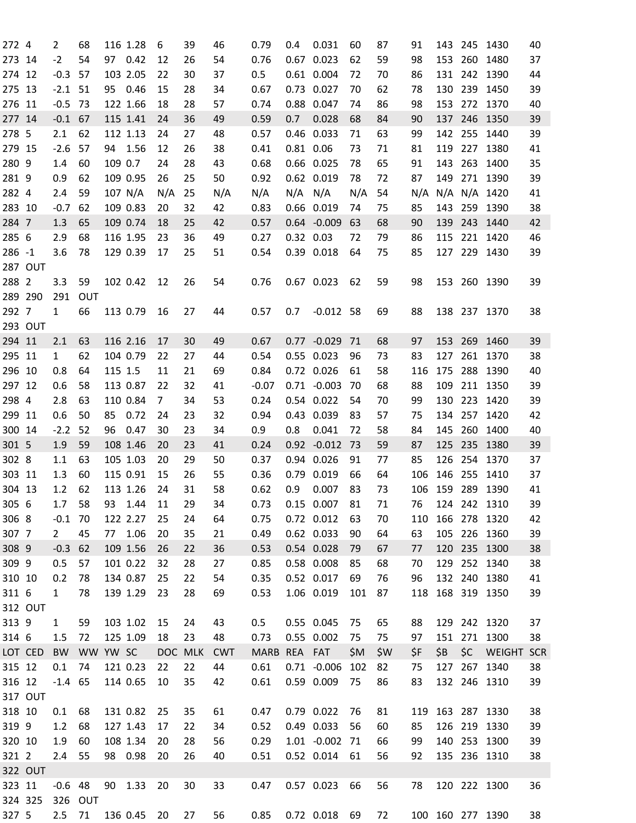| 272 4     |                | $\overline{2}$ | 68       |         | 116 1.28 | 6           | 39      | 46         | 0.79         | 0.4         | 0.031          | 60   | 87  | 91  |     |     | 143 245 1430     | 40 |
|-----------|----------------|----------------|----------|---------|----------|-------------|---------|------------|--------------|-------------|----------------|------|-----|-----|-----|-----|------------------|----|
| 273 14    |                | $-2$           | 54       |         | 97 0.42  | 12          | 26      | 54         | 0.76         |             | $0.67$ 0.023   | 62   | 59  | 98  | 153 |     | 260 1480         | 37 |
| 274 12    |                | $-0.3$         | 57       |         | 103 2.05 | 22          | 30      | 37         | 0.5          |             | 0.61 0.004     | 72   | 70  | 86  |     |     | 131 242 1390     | 44 |
| 275 13    |                | $-2.1$         | 51       |         | 95 0.46  | 15          | 28      | 34         | 0.67         |             | 0.73 0.027     | 70   | 62  | 78  | 130 |     | 239 1450         | 39 |
| 276 11    |                | $-0.5$         | 73       |         | 122 1.66 | 18          | 28      | 57         | 0.74         |             | 0.88 0.047     | 74   | 86  | 98  | 153 |     | 272 1370         | 40 |
| 277 14    |                | $-0.1$         | 67       |         | 115 1.41 | 24          | 36      | 49         | 0.59         | 0.7         | 0.028          | 68   | 84  | 90  | 137 |     | 246 1350         | 39 |
| 278 5     |                | 2.1            | 62       |         | 112 1.13 | 24          | 27      | 48         | 0.57         |             | 0.46 0.033     | 71   | 63  | 99  |     |     | 142 255 1440     | 39 |
| 279 15    |                | $-2.6$         | 57       |         | 94 1.56  | 12          | 26      | 38         | 0.41         | 0.81 0.06   |                | 73   | 71  | 81  | 119 |     | 227 1380         | 41 |
| 280 9     |                | 1.4            | 60       | 109 0.7 |          | 24          | 28      | 43         | 0.68         |             | 0.66 0.025     | 78   | 65  | 91  | 143 |     | 263 1400         | 35 |
| 281 9     |                | 0.9            | 62       |         | 109 0.95 | 26          | 25      | 50         | 0.92         |             | 0.62 0.019     | 78   | 72  | 87  | 149 |     | 271 1390         | 39 |
| 282 4     |                | 2.4            |          |         | 107 N/A  | N/A         | 25      |            | N/A          | $N/A$ $N/A$ |                | N/A  |     | N/A |     |     | N/A N/A 1420     |    |
|           |                |                | 59       |         |          |             |         | N/A        |              |             |                |      | 54  |     |     |     |                  | 41 |
| 283 10    |                | $-0.7$         | 62       |         | 109 0.83 | 20          | 32      | 42         | 0.83         |             | 0.66 0.019     | 74   | 75  | 85  | 143 |     | 259 1390         | 38 |
| 284 7     |                | 1.3            | 65       |         | 109 0.74 | 18          | 25      | 42         | 0.57         |             | $0.64 - 0.009$ | 63   | 68  | 90  | 139 |     | 243 1440         | 42 |
| 285 6     |                | 2.9            | 68       |         | 116 1.95 | 23          | 36      | 49         | 0.27         | 0.32 0.03   |                | 72   | 79  | 86  | 115 |     | 221 1420         | 46 |
| $286 - 1$ |                | 3.6            | 78       |         | 129 0.39 | 17          | 25      | 51         | 0.54         |             | 0.39 0.018     | 64   | 75  | 85  |     |     | 127 229 1430     | 39 |
|           | <b>287 OUT</b> |                |          |         |          |             |         |            |              |             |                |      |     |     |     |     |                  |    |
| 288 2     |                | 3.3            | 59       |         | 102 0.42 | 12          | 26      | 54         | 0.76         |             | 0.67 0.023     | 62   | 59  | 98  |     |     | 153 260 1390     | 39 |
| 289 290   |                | 291            | OUT      |         |          |             |         |            |              |             |                |      |     |     |     |     |                  |    |
| 292 7     |                | $\mathbf{1}$   | 66       |         | 113 0.79 | 16          | 27      | 44         | 0.57         | 0.7         | $-0.012$ 58    |      | 69  | 88  |     |     | 138 237 1370     | 38 |
|           | 293 OUT        |                |          |         |          |             |         |            |              |             |                |      |     |     |     |     |                  |    |
| 294 11    |                | 2.1            | 63       |         | 116 2.16 | 17          | 30      | 49         | 0.67         |             | $0.77 - 0.029$ | 71   | 68  | 97  | 153 | 269 | 1460             | 39 |
| 295 11    |                | $\mathbf{1}$   | 62       |         | 104 0.79 | 22          | 27      | 44         | 0.54         |             | 0.55 0.023     | 96   | 73  | 83  | 127 |     | 261 1370         | 38 |
| 296 10    |                | 0.8            | 64       | 115 1.5 |          | 11          | 21      | 69         | 0.84         |             | 0.72 0.026     | 61   | 58  | 116 | 175 |     | 288 1390         | 40 |
| 297 12    |                | 0.6            | 58       |         | 113 0.87 | 22          | 32      | 41         | $-0.07$      |             | $0.71 - 0.003$ | 70   | 68  | 88  | 109 |     | 211 1350         | 39 |
| 298 4     |                | 2.8            | 63       |         | 110 0.84 | $7^{\circ}$ | 34      | 53         | 0.24         |             | 0.54 0.022     | 54   | 70  | 99  | 130 |     | 223 1420         | 39 |
| 299 11    |                | 0.6            | 50       | 85      | 0.72     | 24          | 23      | 32         | 0.94         |             | 0.43 0.039     | 83   | 57  | 75  | 134 |     | 257 1420         | 42 |
| 300 14    |                | $-2.2$         | 52       | 96      | 0.47     | 30          | 23      | 34         | 0.9          | 0.8         | 0.041          | 72   | 58  | 84  | 145 |     | 260 1400         | 40 |
| 301 5     |                | 1.9            | 59       |         | 108 1.46 | 20          | 23      | 41         | 0.24         |             | $0.92 -0.012$  | - 73 | 59  | 87  | 125 |     | 235 1380         | 39 |
| 302 8     |                | 1.1            | 63       |         | 105 1.03 | 20          | 29      | 50         | 0.37         |             | 0.94 0.026     | 91   | 77  | 85  | 126 |     | 254 1370         | 37 |
| 303 11    |                | 1.3            | 60       |         | 115 0.91 | 15          | 26      | 55         | 0.36         | 0.79        | 0.019          | 66   | 64  | 106 | 146 |     | 255 1410         | 37 |
| 304 13    |                | 1.2            | 62       |         | 113 1.26 | 24          | 31      | 58         | 0.62         | 0.9         | 0.007          | 83   | 73  | 106 |     |     | 159 289 1390     | 41 |
| 305 6     |                | 1.7 58         |          |         | 93 1.44  | 11          | 29      | 34         | 0.73         |             | 0.15 0.007 81  |      | 71  | 76  |     |     | 124 242 1310     | 39 |
| 306 8     |                | $-0.1$ 70      |          |         | 122 2.27 | 25          | 24      | 64         | 0.75         |             | 0.72 0.012     | 63   | 70  | 110 |     |     | 166 278 1320     | 42 |
| 307 7     |                | $\mathbf{2}$   | 45       |         | 77 1.06  | 20          | 35      | 21         | 0.49         |             | 0.62 0.033     | 90   | 64  | 63  |     |     | 105 226 1360     | 39 |
| 308 9     |                | $-0.3$         | 62       |         | 109 1.56 |             |         |            | 0.53         |             | 0.54 0.028     |      |     |     |     |     | 120 235 1300     |    |
|           |                |                |          |         | 101 0.22 | 26          | 22      | 36         |              |             |                | 79   | 67  | 77  |     |     |                  | 38 |
| 309 9     |                | 0.5            | 57       |         |          | 32          | 28      | 27         | 0.85         |             | 0.58 0.008     | 85   | 68  | 70  | 129 |     | 252 1340         | 38 |
| 310 10    |                | 0.2            | 78       |         | 134 0.87 | 25          | 22      | 54         | 0.35         |             | 0.52 0.017     | 69   | 76  | 96  |     |     | 132 240 1380     | 41 |
| 311 6     |                | $\mathbf{1}$   | 78       |         | 139 1.29 | 23          | 28      | 69         | 0.53         |             | 1.06 0.019     | 101  | 87  | 118 |     |     | 168 319 1350     | 39 |
|           | 312 OUT        |                |          |         |          |             |         |            |              |             |                |      |     |     |     |     |                  |    |
| 313 9     |                | $\mathbf{1}$   | 59       |         | 103 1.02 | 15          | 24      | 43         | 0.5          |             | 0.55 0.045     | 75   | 65  | 88  |     |     | 129 242 1320     | 37 |
| 314 6     |                | 1.5            | 72       |         | 125 1.09 | 18          | 23      | 48         | 0.73         |             | 0.55 0.002     | 75   | 75  | 97  | 151 |     | 271 1300         | 38 |
|           | LOT CED        | <b>BW</b>      | WW YW SC |         |          |             | DOC MLK | <b>CWT</b> | MARB REA FAT |             |                | \$M  | \$W | \$F | \$B | \$C | WEIGHT SCR       |    |
| 315 12    |                | 0.1            | 74       |         | 121 0.23 | 22          | 22      | 44         | 0.61         |             | $0.71 - 0.006$ | 102  | 82  | 75  | 127 |     | 267 1340         | 38 |
| 316 12    |                | $-1.4$ 65      |          |         | 114 0.65 | 10          | 35      | 42         | 0.61         |             | 0.59 0.009     | 75   | 86  | 83  |     |     | 132 246 1310     | 39 |
|           | 317 OUT        |                |          |         |          |             |         |            |              |             |                |      |     |     |     |     |                  |    |
| 318 10    |                | 0.1            | 68       |         | 131 0.82 | 25          | 35      | 61         | 0.47         |             | 0.79 0.022     | 76   | 81  |     |     |     | 119 163 287 1330 | 38 |
| 319 9     |                | 1.2            | 68       |         | 127 1.43 | 17          | 22      | 34         | 0.52         |             | 0.49 0.033     | 56   | 60  | 85  |     |     | 126 219 1330     | 39 |
| 320 10    |                | 1.9            | 60       |         | 108 1.34 | 20          | 28      | 56         | 0.29         |             | 1.01 -0.002 71 |      | 66  | 99  |     |     | 140 253 1300     | 39 |
| 321 2     |                | 2.4            | 55       |         | 98 0.98  | 20          | 26      | 40         | 0.51         |             | 0.52 0.014     | 61   | 56  | 92  |     |     | 135 236 1310     | 38 |
|           | 322 OUT        |                |          |         |          |             |         |            |              |             |                |      |     |     |     |     |                  |    |
| 323 11    |                | $-0.6$ 48      |          |         | 90 1.33  | 20          | 30      | 33         | 0.47         |             | 0.57 0.023     | 66   | 56  | 78  |     |     | 120 222 1300     | 36 |
|           | 324 325        | 326 OUT        |          |         |          |             |         |            |              |             |                |      |     |     |     |     |                  |    |
| 327 5     |                | 2.5 71         |          |         | 136 0.45 | 20          | 27      | 56         | 0.85         |             | 0.72 0.018 69  |      | 72  |     |     |     | 100 160 277 1390 | 38 |
|           |                |                |          |         |          |             |         |            |              |             |                |      |     |     |     |     |                  |    |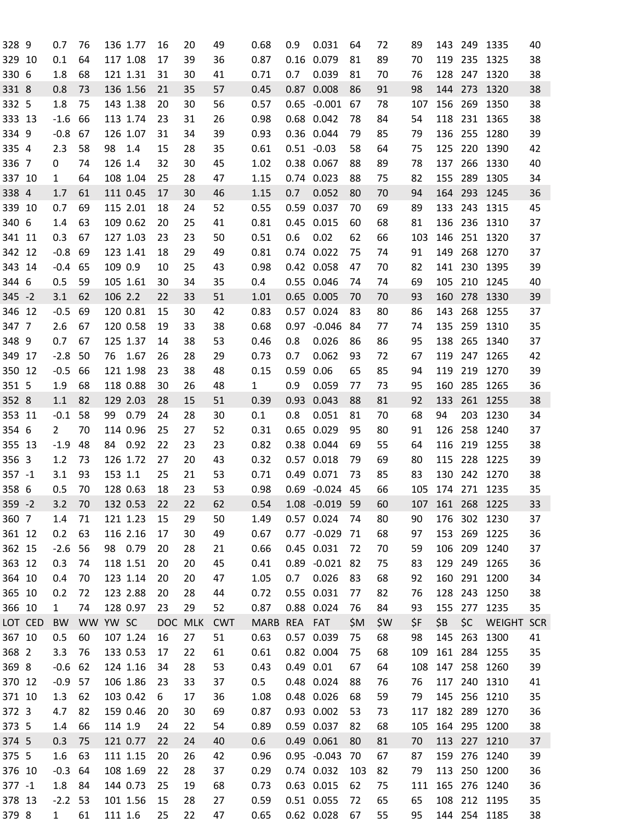| 328 9     |         | 0.7            | 76       |         | 136 1.77 | 16         | 20         | 49         | 0.68        | 0.9           | 0.031          | 64   | 72  | 89  | 143 |         | 249 1335          | 40 |
|-----------|---------|----------------|----------|---------|----------|------------|------------|------------|-------------|---------------|----------------|------|-----|-----|-----|---------|-------------------|----|
| 329 10    |         | 0.1            | 64       |         | 117 1.08 | 17         | 39         | 36         | 0.87        | 0.16          | 0.079          | 81   | 89  | 70  | 119 | 235     | 1325              | 38 |
| 330 6     |         | 1.8            | 68       |         | 121 1.31 | 31         | 30         | 41         | 0.71        | 0.7           | 0.039          | 81   | 70  | 76  | 128 | 247     | 1320              | 38 |
| 331 8     |         | 0.8            | 73       |         | 136 1.56 | 21         | 35         | 57         | 0.45        |               | 0.87 0.008     | 86   | 91  | 98  | 144 | 273     | 1320              | 38 |
| 332 5     |         | 1.8            | 75       |         | 143 1.38 | 20         | 30         | 56         | 0.57        |               | $0.65 - 0.001$ | 67   | 78  | 107 | 156 | 269     | 1350              | 38 |
| 333 13    |         | $-1.6$         | 66       |         | 113 1.74 | 23         | 31         | 26         | 0.98        |               | 0.68 0.042     | 78   | 84  | 54  | 118 | 231     | 1365              | 38 |
| 334 9     |         | $-0.8$         | 67       |         | 126 1.07 | 31         | 34         | 39         | 0.93        |               | 0.36 0.044     | 79   | 85  | 79  | 136 | 255     | 1280              | 39 |
| 335 4     |         | 2.3            | 58       | 98      | 1.4      | 15         | 28         | 35         | 0.61        |               | $0.51 - 0.03$  | 58   | 64  | 75  | 125 | 220     | 1390              | 42 |
| 336 7     |         | 0              | 74       | 126 1.4 |          | 32         | 30         | 45         | 1.02        |               | 0.38 0.067     | 88   | 89  | 78  | 137 | 266     | 1330              | 40 |
| 337 10    |         | $\mathbf{1}$   | 64       |         | 108 1.04 | 25         | 28         | 47         | 1.15        |               | 0.74 0.023     | 88   | 75  | 82  | 155 | 289     | 1305              | 34 |
| 338 4     |         | 1.7            | 61       |         | 111 0.45 | 17         | 30         | 46         | 1.15        | 0.7           | 0.052          | 80   | 70  | 94  | 164 | 293     | 1245              | 36 |
| 339 10    |         | 0.7            | 69       |         | 115 2.01 | 18         | 24         | 52         | 0.55        | 0.59          | 0.037          | 70   | 69  | 89  | 133 | 243     | 1315              | 45 |
| 340 6     |         | 1.4            | 63       |         | 109 0.62 | 20         | 25         | 41         | 0.81        |               | 0.45 0.015     | 60   | 68  | 81  | 136 |         | 236 1310          | 37 |
| 341 11    |         | 0.3            | 67       |         | 127 1.03 | 23         | 23         | 50         | 0.51        | 0.6           | 0.02           | 62   | 66  | 103 | 146 | 251     | 1320              | 37 |
| 342 12    |         | $-0.8$         | 69       |         | 123 1.41 | 18         | 29         | 49         | 0.81        |               | 0.74 0.022     | 75   | 74  | 91  | 149 | 268     | 1270              | 37 |
| 343 14    |         | $-0.4$         | 65       | 109 0.9 |          | 10         | 25         | 43         | 0.98        |               | 0.42 0.058     | 47   | 70  | 82  | 141 | 230     | 1395              | 39 |
| 344 6     |         | 0.5            | 59       |         | 105 1.61 | 30         | 34         | 35         | 0.4         |               | 0.55 0.046     | 74   | 74  | 69  | 105 | 210     | 1245              | 40 |
| $345 - 2$ |         |                | 62       | 106 2.2 |          |            | 33         | 51         |             |               | 0.65 0.005     |      |     |     |     |         |                   | 39 |
|           |         | 3.1            |          |         |          | 22         |            |            | 1.01        |               |                | 70   | 70  | 93  | 160 | 278     | 1330              |    |
| 346 12    |         | $-0.5$         | 69       |         | 120 0.81 | 15         | 30         | 42         | 0.83        | 0.57          | 0.024          | 83   | 80  | 86  | 143 | 268     | 1255              | 37 |
| 347 7     |         | 2.6            | 67       |         | 120 0.58 | 19         | 33         | 38         | 0.68        | 0.97          | $-0.046$       | 84   | 77  | 74  | 135 | 259     | 1310              | 35 |
| 348 9     |         | 0.7            | 67       |         | 125 1.37 | 14         | 38         | 53         | 0.46        | 0.8           | 0.026          | 86   | 86  | 95  | 138 |         | 265 1340          | 37 |
| 349 17    |         | $-2.8$         | 50       | 76      | 1.67     | 26         | 28         | 29         | 0.73        | 0.7           | 0.062          | 93   | 72  | 67  | 119 | 247     | 1265              | 42 |
| 350 12    |         | $-0.5$         | 66       |         | 121 1.98 | 23         | 38         | 48         | 0.15        | 0.59          | 0.06           | 65   | 85  | 94  | 119 | 219     | 1270              | 39 |
| 351 5     |         | 1.9            | 68       |         | 118 0.88 | 30         | 26         | 48         | 1           | 0.9           | 0.059          | 77   | 73  | 95  | 160 | 285     | 1265              | 36 |
| 352 8     |         | 1.1            | 82       |         | 129 2.03 | 28         | 15         | 51         | 0.39        | 0.93          | 0.043          | 88   | 81  | 92  | 133 | 261     | 1255              | 38 |
| 353 11    |         | $-0.1$         | 58       | 99      | 0.79     | 24         | 28         | 30         | 0.1         | 0.8           | 0.051          | 81   | 70  | 68  | 94  | 203     | 1230              | 34 |
| 354 6     |         | $\overline{2}$ | 70       |         | 114 0.96 | 25         | 27         | 52         | 0.31        |               | 0.65 0.029     | 95   | 80  | 91  | 126 | 258     | 1240              | 37 |
| 355 13    |         | $-1.9$         | 48       | 84      | 0.92     | 22         | 23         | 23         | 0.82        | 0.38          | 0.044          | 69   | 55  | 64  | 116 | 219     | 1255              | 38 |
| 356 3     |         | 1.2            | 73       |         | 126 1.72 | 27         | 20         | 43         | 0.32        |               | 0.57 0.018     | 79   | 69  | 80  | 115 | 228     | 1225              | 39 |
| $357 - 1$ |         | 3.1            | 93       | 153 1.1 |          | 25         | 21         | 53         | 0.71        | 0.49          | 0.071          | 73   | 85  | 83  | 130 | 242     | 1270              | 38 |
| 358 6     |         | 0.5            | 70       |         | 128 0.63 | 18         | 23         | 53         | 0.98        |               | 0.69 -0.024 45 |      | 66  | 105 | 174 |         | 271 1235          | 35 |
| $359 - 2$ |         | 3.2            | 70       |         | 132 0.53 | 22         | 22         | 62         | 0.54        |               | 1.08 -0.019    | 59   | 60  | 107 | 161 |         | 268 1225          | 33 |
| 360 7     |         | 1.4            | 71       |         | 121 1.23 | 15         | 29         | 50         | 1.49        |               | 0.57 0.024     | 74   | 80  | 90  | 176 |         | 302 1230          | 37 |
| 361 12    |         | 0.2            | 63       |         | 116 2.16 | 17         | 30         | 49         | 0.67        |               | $0.77 - 0.029$ | - 71 | 68  | 97  | 153 |         | 269 1225          | 36 |
| 362 15    |         | $-2.6$         | 56       |         | 98 0.79  | 20         | 28         | 21         | 0.66        |               | 0.45 0.031     | 72   | 70  | 59  | 106 |         | 209 1240          | 37 |
| 363 12    |         | 0.3            | 74       |         | 118 1.51 | 20         | 20         | 45         | 0.41        |               | 0.89 -0.021 82 |      | 75  | 83  | 129 |         | 249 1265          | 36 |
| 364 10    |         | 0.4            | 70       |         | 123 1.14 | 20         | 20         | 47         | 1.05        | 0.7           | 0.026          | 83   | 68  | 92  | 160 |         | 291 1200          | 34 |
| 365 10    |         | 0.2            | 72       |         | 123 2.88 | 20         | 28         | 44         | 0.72        |               | 0.55 0.031     | 77   | 82  | 76  | 128 |         | 243 1250          | 38 |
| 366 10    |         | $\mathbf{1}$   | 74       |         | 128 0.97 | 23         | 29         | 52         | 0.87        |               | 0.88 0.024     | 76   | 84  | 93  | 155 |         | 277 1235          | 35 |
|           | LOT CED | BW             | WW YW SC |         |          | <b>DOC</b> | <b>MLK</b> | <b>CWT</b> | <b>MARB</b> | REA FAT       |                | \$M  | \$W | \$F | \$B | \$C     | <b>WEIGHT SCR</b> |    |
| 367 10    |         | 0.5            | 60       |         | 107 1.24 | 16         | 27         | 51         | 0.63        |               | 0.57 0.039     | 75   | 68  | 98  | 145 | 263     | 1300              | 41 |
| 368 2     |         | 3.3            | 76       |         | 133 0.53 | 17         | 22         | 61         | 0.61        |               | 0.82 0.004     | 75   | 68  | 109 |     |         | 161 284 1255      | 35 |
| 369 8     |         | $-0.6$         | 62       |         | 124 1.16 | 34         | 28         | 53         | 0.43        | $0.49$ $0.01$ |                | 67   | 64  | 108 | 147 |         | 258 1260          | 39 |
| 370 12    |         | $-0.9$         | 57       |         | 106 1.86 | 23         | 33         | 37         | 0.5         |               | 0.48 0.024     | 88   | 76  | 76  | 117 |         | 240 1310          | 41 |
| 371 10    |         | 1.3            | 62       |         | 103 0.42 | 6          | 17         | 36         | 1.08        |               | 0.48 0.026     | 68   | 59  | 79  | 145 |         | 256 1210          | 35 |
| 372 3     |         | 4.7            | 82       |         | 159 0.46 | 20         | 30         | 69         | 0.87        |               | 0.93 0.002     | 53   | 73  | 117 |     | 182 289 | 1270              | 36 |
| 373 5     |         | 1.4            | 66       | 114 1.9 |          | 24         | 22         | 54         | 0.89        |               | 0.59 0.037     | 82   | 68  | 105 |     |         | 164 295 1200      | 38 |
| 374 5     |         | 0.3            | 75       |         | 121 0.77 | 22         | 24         | 40         | 0.6         |               | 0.49 0.061     | 80   | 81  | 70  | 113 |         | 227 1210          | 37 |
| 375 5     |         | 1.6            | 63       |         | 111 1.15 | 20         | 26         | 42         | 0.96        |               | $0.95 - 0.043$ | 70   | 67  | 87  | 159 | 276     | 1240              | 39 |
| 376 10    |         | $-0.3$         | 64       |         | 108 1.69 | 22         | 28         | 37         | 0.29        |               | 0.74 0.032     | 103  | 82  | 79  | 113 |         | 250 1200          | 36 |
| $377 - 1$ |         | 1.8            | 84       |         | 144 0.73 | 25         | 19         | 68         | 0.73        |               | 0.63 0.015     | 62   | 75  | 111 | 165 |         | 276 1240          | 36 |
| 378 13    |         | $-2.2$ 53      |          |         | 101 1.56 | 15         | 28         | 27         | 0.59        |               | 0.51 0.055     | 72   | 65  | 65  | 108 |         | 212 1195          | 35 |
| 379 8     |         | $\mathbf{1}$   | 61       | 111 1.6 |          | 25         | 22         | 47         | 0.65        |               | 0.62 0.028     | 67   | 55  | 95  |     |         | 144 254 1185      |    |
|           |         |                |          |         |          |            |            |            |             |               |                |      |     |     |     |         |                   | 38 |